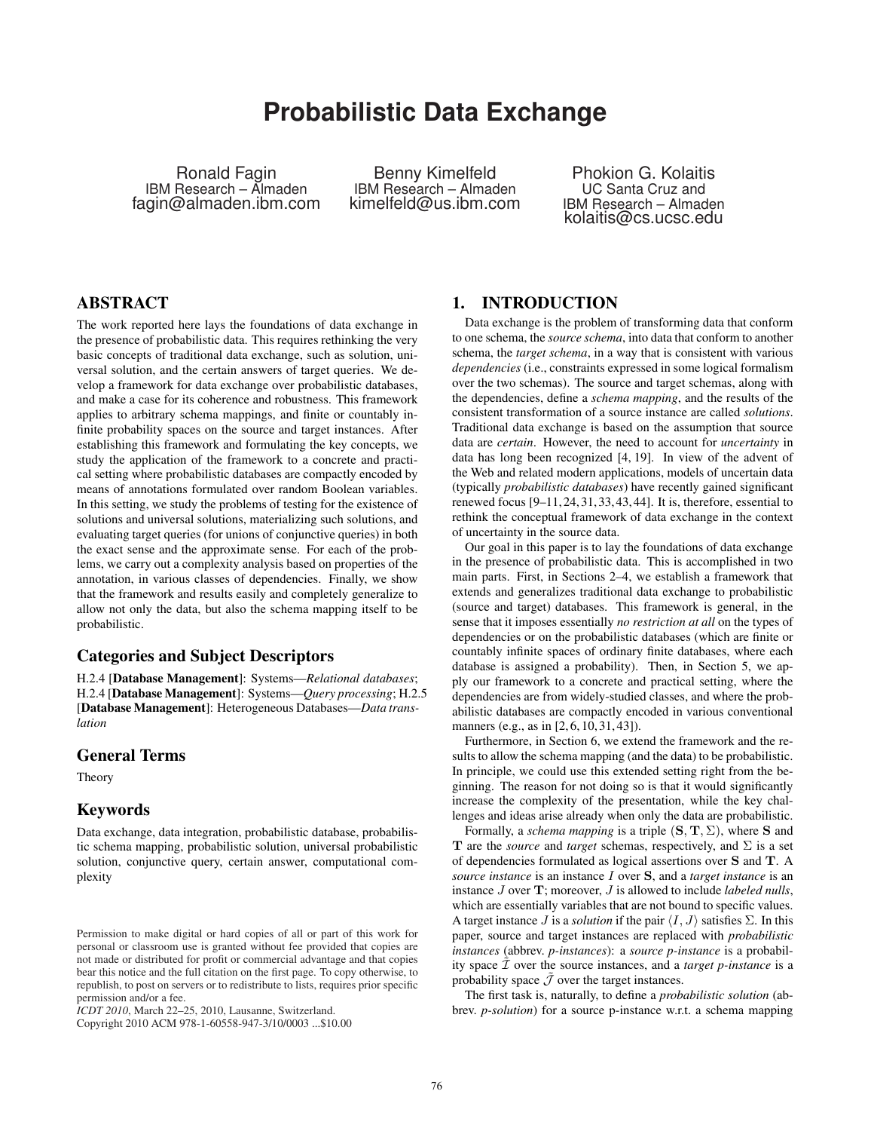# **Probabilistic Data Exchange**

Ronald Fagin IBM Research – Almaden fagin@almaden.ibm.com

Benny Kimelfeld IBM Research – Almaden kimelfeld@us.ibm.com

Phokion G. Kolaitis UC Santa Cruz and IBM Research – Almaden kolaitis@cs.ucsc.edu

# ABSTRACT

The work reported here lays the foundations of data exchange in the presence of probabilistic data. This requires rethinking the very basic concepts of traditional data exchange, such as solution, universal solution, and the certain answers of target queries. We develop a framework for data exchange over probabilistic databases, and make a case for its coherence and robustness. This framework applies to arbitrary schema mappings, and finite or countably infinite probability spaces on the source and target instances. After establishing this framework and formulating the key concepts, we study the application of the framework to a concrete and practical setting where probabilistic databases are compactly encoded by means of annotations formulated over random Boolean variables. In this setting, we study the problems of testing for the existence of solutions and universal solutions, materializing such solutions, and evaluating target queries (for unions of conjunctive queries) in both the exact sense and the approximate sense. For each of the problems, we carry out a complexity analysis based on properties of the annotation, in various classes of dependencies. Finally, we show that the framework and results easily and completely generalize to allow not only the data, but also the schema mapping itself to be probabilistic.

## Categories and Subject Descriptors

H.2.4 [Database Management]: Systems—*Relational databases*; H.2.4 [Database Management]: Systems—*Query processing*; H.2.5 [Database Management]: Heterogeneous Databases—*Data translation*

## General Terms

Theory

#### Keywords

Data exchange, data integration, probabilistic database, probabilistic schema mapping, probabilistic solution, universal probabilistic solution, conjunctive query, certain answer, computational complexity

Copyright 2010 ACM 978-1-60558-947-3/10/0003 ...\$10.00

### 1. INTRODUCTION

Data exchange is the problem of transforming data that conform to one schema, the *source schema*, into data that conform to another schema, the *target schema*, in a way that is consistent with various *dependencies* (i.e., constraints expressed in some logical formalism over the two schemas). The source and target schemas, along with the dependencies, define a *schema mapping*, and the results of the consistent transformation of a source instance are called *solutions*. Traditional data exchange is based on the assumption that source data are *certain*. However, the need to account for *uncertainty* in data has long been recognized [4, 19]. In view of the advent of the Web and related modern applications, models of uncertain data (typically *probabilistic databases*) have recently gained significant renewed focus [9–11,24,31,33,43,44]. It is, therefore, essential to rethink the conceptual framework of data exchange in the context of uncertainty in the source data.

Our goal in this paper is to lay the foundations of data exchange in the presence of probabilistic data. This is accomplished in two main parts. First, in Sections 2–4, we establish a framework that extends and generalizes traditional data exchange to probabilistic (source and target) databases. This framework is general, in the sense that it imposes essentially *no restriction at all* on the types of dependencies or on the probabilistic databases (which are finite or countably infinite spaces of ordinary finite databases, where each database is assigned a probability). Then, in Section 5, we apply our framework to a concrete and practical setting, where the dependencies are from widely-studied classes, and where the probabilistic databases are compactly encoded in various conventional manners (e.g., as in [2, 6, 10, 31, 43]).

Furthermore, in Section 6, we extend the framework and the results to allow the schema mapping (and the data) to be probabilistic. In principle, we could use this extended setting right from the beginning. The reason for not doing so is that it would significantly increase the complexity of the presentation, while the key challenges and ideas arise already when only the data are probabilistic.

Formally, a *schema mapping* is a triple  $(S, T, \Sigma)$ , where S and T are the *source* and *target* schemas, respectively, and  $\Sigma$  is a set of dependencies formulated as logical assertions over S and T. A *source instance* is an instance I over S, and a *target instance* is an instance J over T; moreover, J is allowed to include *labeled nulls*, which are essentially variables that are not bound to specific values. A target instance *J* is a *solution* if the pair  $\langle I, J \rangle$  satisfies  $\Sigma$ . In this paper, source and target instances are replaced with *probabilistic instances* (abbrev. *p-instances*): a *source p-instance* is a probability space  $\tilde{\mathcal{I}}$  over the source instances, and a *target p-instance* is a probability space  $\tilde{\mathcal{J}}$  over the target instances.

The first task is, naturally, to define a *probabilistic solution* (abbrev. *p-solution*) for a source p-instance w.r.t. a schema mapping

Permission to make digital or hard copies of all or part of this work for personal or classroom use is granted without fee provided that copies are not made or distributed for profit or commercial advantage and that copies bear this notice and the full citation on the first page. To copy otherwise, to republish, to post on servers or to redistribute to lists, requires prior specific permission and/or a fee.

*ICDT 2010*, March 22–25, 2010, Lausanne, Switzerland.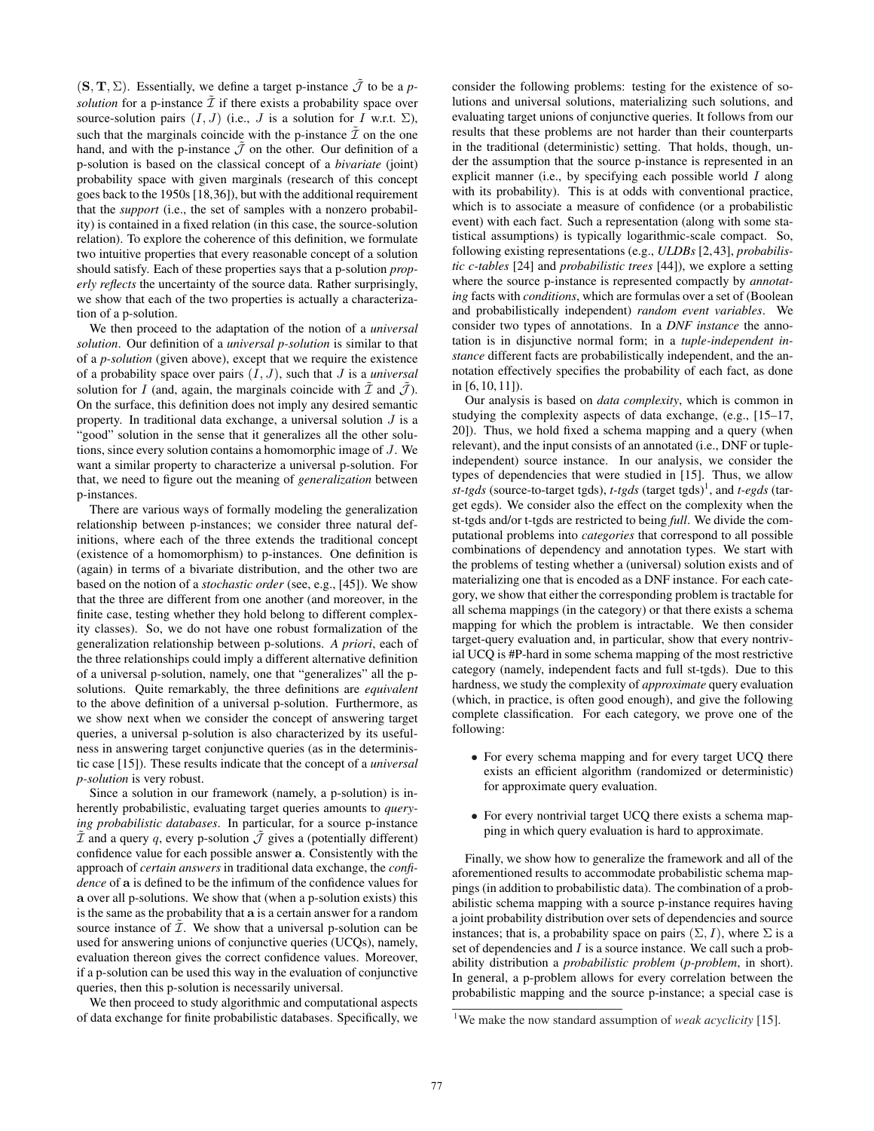$(S, T, \Sigma)$ . Essentially, we define a target p-instance  $\tilde{\mathcal{J}}$  to be a *psolution* for a p-instance  $\tilde{\mathcal{I}}$  if there exists a probability space over source-solution pairs  $(I, J)$  (i.e.,  $J$  is a solution for  $I$  w.r.t.  $\Sigma$ ), such that the marginals coincide with the p-instance  $\tilde{\mathcal{I}}$  on the one hand, and with the p-instance  $\tilde{J}$  on the other. Our definition of a p-solution is based on the classical concept of a *bivariate* (joint) probability space with given marginals (research of this concept goes back to the 1950s [18,36]), but with the additional requirement that the *support* (i.e., the set of samples with a nonzero probability) is contained in a fixed relation (in this case, the source-solution relation). To explore the coherence of this definition, we formulate two intuitive properties that every reasonable concept of a solution should satisfy. Each of these properties says that a p-solution *properly reflects* the uncertainty of the source data. Rather surprisingly, we show that each of the two properties is actually a characterization of a p-solution.

We then proceed to the adaptation of the notion of a *universal solution*. Our definition of a *universal p-solution* is similar to that of a *p-solution* (given above), except that we require the existence of a probability space over pairs (I, J), such that J is a *universal* solution for I (and, again, the marginals coincide with  $\tilde{\mathcal{I}}$  and  $\tilde{\mathcal{J}}$ ). On the surface, this definition does not imply any desired semantic property. In traditional data exchange, a universal solution  $J$  is a "good" solution in the sense that it generalizes all the other solutions, since every solution contains a homomorphic image of J. We want a similar property to characterize a universal p-solution. For that, we need to figure out the meaning of *generalization* between p-instances.

There are various ways of formally modeling the generalization relationship between p-instances; we consider three natural definitions, where each of the three extends the traditional concept (existence of a homomorphism) to p-instances. One definition is (again) in terms of a bivariate distribution, and the other two are based on the notion of a *stochastic order* (see, e.g., [45]). We show that the three are different from one another (and moreover, in the finite case, testing whether they hold belong to different complexity classes). So, we do not have one robust formalization of the generalization relationship between p-solutions. *A priori*, each of the three relationships could imply a different alternative definition of a universal p-solution, namely, one that "generalizes" all the psolutions. Quite remarkably, the three definitions are *equivalent* to the above definition of a universal p-solution. Furthermore, as we show next when we consider the concept of answering target queries, a universal p-solution is also characterized by its usefulness in answering target conjunctive queries (as in the deterministic case [15]). These results indicate that the concept of a *universal p-solution* is very robust.

Since a solution in our framework (namely, a p-solution) is inherently probabilistic, evaluating target queries amounts to *querying probabilistic databases*. In particular, for a source p-instance  $\tilde{\mathcal{I}}$  and a query q, every p-solution  $\tilde{\mathcal{J}}$  gives a (potentially different) confidence value for each possible answer a. Consistently with the approach of *certain answers* in traditional data exchange, the *confidence* of a is defined to be the infimum of the confidence values for a over all p-solutions. We show that (when a p-solution exists) this is the same as the probability that a is a certain answer for a random source instance of  $\tilde{\mathcal{I}}$ . We show that a universal p-solution can be used for answering unions of conjunctive queries (UCQs), namely, evaluation thereon gives the correct confidence values. Moreover, if a p-solution can be used this way in the evaluation of conjunctive queries, then this p-solution is necessarily universal.

We then proceed to study algorithmic and computational aspects of data exchange for finite probabilistic databases. Specifically, we consider the following problems: testing for the existence of solutions and universal solutions, materializing such solutions, and evaluating target unions of conjunctive queries. It follows from our results that these problems are not harder than their counterparts in the traditional (deterministic) setting. That holds, though, under the assumption that the source p-instance is represented in an explicit manner (i.e., by specifying each possible world  $I$  along with its probability). This is at odds with conventional practice, which is to associate a measure of confidence (or a probabilistic event) with each fact. Such a representation (along with some statistical assumptions) is typically logarithmic-scale compact. So, following existing representations (e.g., *ULDBs* [2,43], *probabilistic c-tables* [24] and *probabilistic trees* [44]), we explore a setting where the source p-instance is represented compactly by *annotating* facts with *conditions*, which are formulas over a set of (Boolean and probabilistically independent) *random event variables*. We consider two types of annotations. In a *DNF instance* the annotation is in disjunctive normal form; in a *tuple-independent instance* different facts are probabilistically independent, and the annotation effectively specifies the probability of each fact, as done in [6, 10, 11]).

Our analysis is based on *data complexity*, which is common in studying the complexity aspects of data exchange, (e.g., [15–17, 20]). Thus, we hold fixed a schema mapping and a query (when relevant), and the input consists of an annotated (i.e., DNF or tupleindependent) source instance. In our analysis, we consider the types of dependencies that were studied in [15]. Thus, we allow *st-tgds* (source-to-target tgds), *t-tgds* (target tgds)<sup>1</sup>, and *t-egds* (target egds). We consider also the effect on the complexity when the st-tgds and/or t-tgds are restricted to being *full*. We divide the computational problems into *categories* that correspond to all possible combinations of dependency and annotation types. We start with the problems of testing whether a (universal) solution exists and of materializing one that is encoded as a DNF instance. For each category, we show that either the corresponding problem is tractable for all schema mappings (in the category) or that there exists a schema mapping for which the problem is intractable. We then consider target-query evaluation and, in particular, show that every nontrivial UCQ is #P-hard in some schema mapping of the most restrictive category (namely, independent facts and full st-tgds). Due to this hardness, we study the complexity of *approximate* query evaluation (which, in practice, is often good enough), and give the following complete classification. For each category, we prove one of the following:

- For every schema mapping and for every target UCQ there exists an efficient algorithm (randomized or deterministic) for approximate query evaluation.
- For every nontrivial target UCQ there exists a schema mapping in which query evaluation is hard to approximate.

Finally, we show how to generalize the framework and all of the aforementioned results to accommodate probabilistic schema mappings (in addition to probabilistic data). The combination of a probabilistic schema mapping with a source p-instance requires having a joint probability distribution over sets of dependencies and source instances; that is, a probability space on pairs  $(\Sigma, I)$ , where  $\Sigma$  is a set of dependencies and  $I$  is a source instance. We call such a probability distribution a *probabilistic problem* (*p-problem*, in short). In general, a p-problem allows for every correlation between the probabilistic mapping and the source p-instance; a special case is

<sup>&</sup>lt;sup>1</sup>We make the now standard assumption of *weak acyclicity* [15].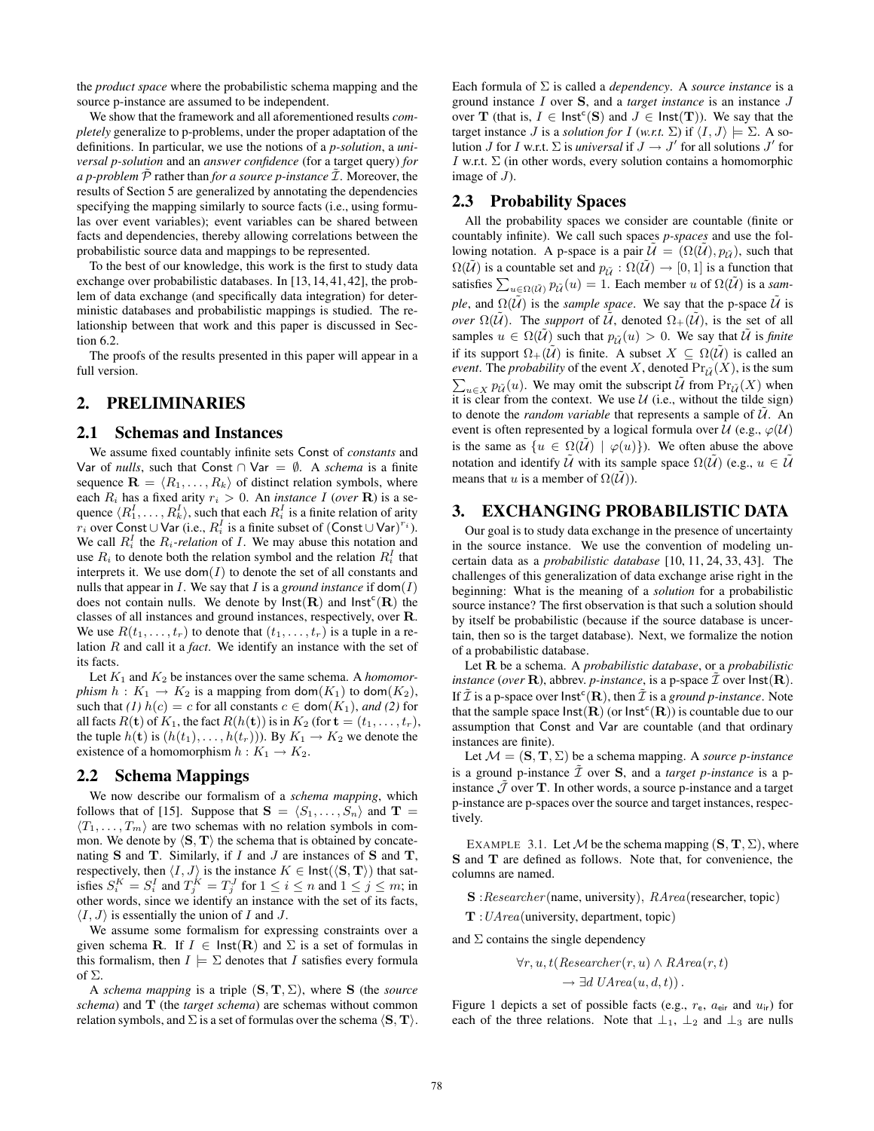the *product space* where the probabilistic schema mapping and the source p-instance are assumed to be independent.

We show that the framework and all aforementioned results *completely* generalize to p-problems, under the proper adaptation of the definitions. In particular, we use the notions of a *p-solution*, a *universal p-solution* and an *answer confidence* (for a target query) *for a p-problem*  $P$  rather than *for a source p-instance*  $I$ . Moreover, the results of Section 5 are generalized by annotating the dependencies specifying the mapping similarly to source facts (i.e., using formulas over event variables); event variables can be shared between facts and dependencies, thereby allowing correlations between the probabilistic source data and mappings to be represented.

To the best of our knowledge, this work is the first to study data exchange over probabilistic databases. In [13, 14, 41, 42], the problem of data exchange (and specifically data integration) for deterministic databases and probabilistic mappings is studied. The relationship between that work and this paper is discussed in Section 6.2.

The proofs of the results presented in this paper will appear in a full version.

# 2. PRELIMINARIES

#### 2.1 Schemas and Instances

We assume fixed countably infinite sets Const of *constants* and Var of *nulls*, such that Const ∩ Var =  $\emptyset$ . A *schema* is a finite sequence  $\mathbf{R} = \langle R_1, \ldots, R_k \rangle$  of distinct relation symbols, where each  $R_i$  has a fixed arity  $r_i > 0$ . An *instance* I (*over* **R**) is a sequence  $\langle R_1^I, \ldots, R_k^I \rangle$ , such that each  $R_i^I$  is a finite relation of arity  $r_i$  over Const ∪ Var (i.e.,  $R_i^I$  is a finite subset of (Const ∪ Var)<sup> $r_i$ </sup>). We call  $R_i^I$  the  $R_i$ -relation of I. We may abuse this notation and use  $R_i$  to denote both the relation symbol and the relation  $R_i^I$  that interprets it. We use  $dom(I)$  to denote the set of all constants and nulls that appear in  $I$ . We say that  $I$  is a *ground instance* if  $\text{dom}(I)$ does not contain nulls. We denote by  $\textsf{Inst}(\mathbf{R})$  and  $\textsf{Inst}^c(\mathbf{R})$  the classes of all instances and ground instances, respectively, over R. We use  $R(t_1, \ldots, t_r)$  to denote that  $(t_1, \ldots, t_r)$  is a tuple in a relation R and call it a *fact*. We identify an instance with the set of its facts.

Let  $K_1$  and  $K_2$  be instances over the same schema. A *homomorphism*  $h: K_1 \to K_2$  is a mapping from  $\text{dom}(K_1)$  to  $\text{dom}(K_2)$ , such that *(1)*  $h(c) = c$  for all constants  $c \in \text{dom}(K_1)$ , *and (2)* for all facts  $R(\mathbf{t})$  of  $K_1$ , the fact  $R(h(\mathbf{t}))$  is in  $K_2$  (for  $\mathbf{t} = (t_1, \ldots, t_r)$ , the tuple  $h(\mathbf{t})$  is  $(h(t_1), \ldots, h(t_r))$ ). By  $K_1 \to K_2$  we denote the existence of a homomorphism  $h: K_1 \to K_2$ .

## 2.2 Schema Mappings

We now describe our formalism of a *schema mapping*, which follows that of [15]. Suppose that  $S = \langle S_1, \ldots, S_n \rangle$  and  $T =$  $\langle T_1, \ldots, T_m \rangle$  are two schemas with no relation symbols in common. We denote by  $\langle S, T \rangle$  the schema that is obtained by concatenating  $S$  and  $T$ . Similarly, if  $I$  and  $J$  are instances of  $S$  and  $T$ , respectively, then  $\langle I, J \rangle$  is the instance  $K \in \text{Inst}(\langle \mathbf{S}, \mathbf{T} \rangle)$  that satisfies  $S_i^K = S_i^I$  and  $T_j^K = T_j^J$  for  $1 \le i \le n$  and  $1 \le j \le m$ ; in other words, since we identify an instance with the set of its facts,  $\langle I, J \rangle$  is essentially the union of I and J.

We assume some formalism for expressing constraints over a given schema **R**. If  $I \in \text{Inst}(\mathbf{R})$  and  $\Sigma$  is a set of formulas in this formalism, then  $I \models \Sigma$  denotes that I satisfies every formula of  $\Sigma$ .

A *schema mapping* is a triple  $(S, T, \Sigma)$ , where S (the *source schema*) and T (the *target schema*) are schemas without common relation symbols, and  $\Sigma$  is a set of formulas over the schema  $\langle S, T \rangle$ . Each formula of Σ is called a *dependency*. A *source instance* is a ground instance I over S, and a *target instance* is an instance J over **T** (that is,  $I \in \text{Inst}^c(S)$  and  $J \in \text{Inst}(T)$ ). We say that the target instance J is a *solution for* I (*w.r.t.*  $\Sigma$ ) if  $\langle I, J \rangle \models \Sigma$ . A solution *J* for *I* w.r.t.  $\Sigma$  is *universal* if  $J \to J'$  for all solutions  $J'$  for I w.r.t.  $\Sigma$  (in other words, every solution contains a homomorphic image of  $J$ ).

## 2.3 Probability Spaces

All the probability spaces we consider are countable (finite or countably infinite). We call such spaces *p-spaces* and use the following notation. A p-space is a pair  $\mathcal{U} = (\Omega(\mathcal{U}), p_{\tilde{\mathcal{U}}})$ , such that  $\Omega(\tilde{U})$  is a countable set and  $p_{\tilde{U}} : \Omega(\tilde{U}) \to [0, 1]$  is a function that satisfies  $\sum_{u \in \Omega(\tilde{U})} p_{\tilde{U}}(u) = 1$ . Each member u of  $\Omega(\tilde{U})$  is a *sample*, and  $\Omega(\tilde{U})$  is the *sample space*. We say that the p-space  $\tilde{U}$  is *over*  $\Omega(\tilde{U})$ . The *support* of  $\tilde{U}$ , denoted  $\Omega_+(\tilde{U})$ , is the set of all samples  $u \in \Omega(\tilde{U})$  such that  $p_{\tilde{U}}(u) > 0$ . We say that  $\tilde{U}$  is *finite* if its support  $\Omega_+(\tilde{U})$  is finite. A subset  $X \subseteq \Omega(\tilde{U})$  is called an *event.* The *probability* of the event X, denoted  $\Pr_{\tilde{U}}(X)$ , is the sum EVEN: The probability of the event  $X$ , denoted  $\Pi_{\mathcal{U}}(X)$ , is the sum  $\sum_{u \in X} p_{\tilde{U}}(u)$ . We may omit the subscript  $\tilde{U}$  from  $\Pr_{\tilde{U}}(X)$  when it is clear from the context. We use  $U$  (i.e., without the tilde sign) to denote the *random variable* that represents a sample of  $\tilde{U}$ . An event is often represented by a logical formula over  $U$  (e.g.,  $\varphi$ ( $U$ ) is the same as  $\{u \in \Omega(\tilde{U}) \mid \varphi(u)\}\)$ . We often abuse the above notation and identify  $\tilde{U}$  with its sample space  $\Omega(\tilde{U})$  (e.g.,  $u \in \tilde{U}$ means that u is a member of  $\Omega(\tilde{U})$ ).

# 3. EXCHANGING PROBABILISTIC DATA

Our goal is to study data exchange in the presence of uncertainty in the source instance. We use the convention of modeling uncertain data as a *probabilistic database* [10, 11, 24, 33, 43]. The challenges of this generalization of data exchange arise right in the beginning: What is the meaning of a *solution* for a probabilistic source instance? The first observation is that such a solution should by itself be probabilistic (because if the source database is uncertain, then so is the target database). Next, we formalize the notion of a probabilistic database.

Let R be a schema. A *probabilistic database*, or a *probabilistic instance* (*over* **R**), abbrev. *p*-instance, is a p-space  $\mathcal{I}$  over  $\textsf{Inst}(\textbf{R})$ . If  $\tilde{\mathcal{I}}$  is a p-space over  $\mathsf{Inst}^c(\mathbf{R})$ , then  $\tilde{\mathcal{I}}$  is a *ground p-instance*. Note that the sample space  $\textsf{Inst}(\mathbf{R})$  (or  $\textsf{Inst}^c(\mathbf{R})$ ) is countable due to our assumption that Const and Var are countable (and that ordinary instances are finite).

Let  $M = (\mathbf{S}, \mathbf{T}, \Sigma)$  be a schema mapping. A *source p-instance* is a ground p-instance  $\tilde{\mathcal{I}}$  over **S**, and a *target p-instance* is a pinstance  $J$  over  $T$ . In other words, a source p-instance and a target p-instance are p-spaces over the source and target instances, respectively.

EXAMPLE 3.1. Let M be the schema mapping  $(S, T, \Sigma)$ , where S and T are defined as follows. Note that, for convenience, the columns are named.

S :Researcher (name, university), RArea(researcher, topic)

 $T: UArea$ (university, department, topic)

and  $\Sigma$  contains the single dependency

$$
\forall r, u, t (Researcher(r, u) \land RArea(r, t))
$$

$$
\rightarrow \exists d \text{ } UArea(u, d, t)).
$$

Figure 1 depicts a set of possible facts (e.g.,  $r_e$ ,  $a_{\text{eir}}$  and  $u_{ir}$ ) for each of the three relations. Note that  $\perp_1$ ,  $\perp_2$  and  $\perp_3$  are nulls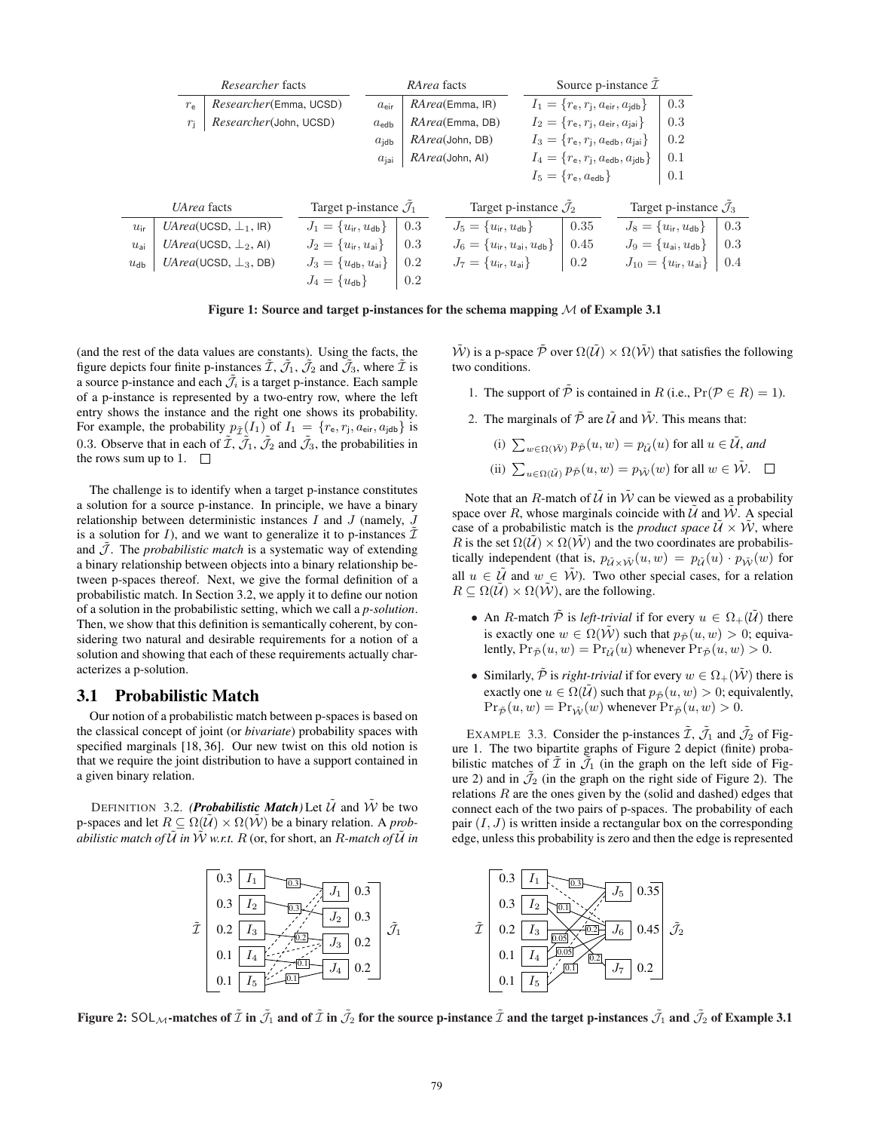|              | Researcher facts                      |                                     |                                          |                                   | RArea facts             |                                     |                                                            | Source p-instance $\mathcal I$                               |                                   |                                      |     |
|--------------|---------------------------------------|-------------------------------------|------------------------------------------|-----------------------------------|-------------------------|-------------------------------------|------------------------------------------------------------|--------------------------------------------------------------|-----------------------------------|--------------------------------------|-----|
|              | Researcher(Emma, UCSD)<br>$r_{e}$     |                                     |                                          | $a_{\text{eir}}$                  | <i>RArea</i> (Emma, IR) |                                     |                                                            | $I_1 = \{r_{\rm e}, r_{\rm j}, a_{\rm eir}, a_{\rm jdb}\}\,$ |                                   | 0.3                                  |     |
|              | Researcher(John, UCSD)<br>$r_{\rm i}$ |                                     |                                          | $a_{\text{edb}}$                  | RArea(Emma, DB)         |                                     | $I_2 = \{r_{\rm e}, r_{\rm j}, a_{\rm eir}, a_{\rm jai}\}$ |                                                              |                                   | 0.3                                  |     |
|              |                                       |                                     | $a_{\text{idb}}$                         | RArea(John, DB)                   |                         |                                     | $I_3 = \{r_{e}, r_{j}, a_{edb}, a_{jai}\}\$                |                                                              | 0.2                               |                                      |     |
|              |                                       |                                     |                                          | $a_{\rm ini}$                     |                         | <i>RArea</i> (John, AI)             |                                                            | $I_4 = \{r_{\rm e}, r_{\rm j}, a_{\rm edb}, a_{\rm jdb}\}$   |                                   | 0.1                                  |     |
|              |                                       |                                     |                                          |                                   |                         |                                     |                                                            | $I_5 = \{r_{\rm e}, a_{\rm edb}\}\$                          |                                   | 0.1                                  |     |
|              |                                       |                                     |                                          |                                   |                         |                                     |                                                            |                                                              |                                   |                                      |     |
|              | UArea facts                           |                                     |                                          | Target p-instance $\mathcal{J}_1$ |                         | Target p-instance $\mathcal{J}_2$   |                                                            |                                                              | Target p-instance $\mathcal{J}_3$ |                                      |     |
| $u_{ir}$     |                                       | $UArea(UGSD, \perp_1, IR)$          | $J_1 = \{u_{ir}, u_{db}\}\$              |                                   | 0.3                     | $J_5 = \{u_{ir}, u_{db}\}\$         |                                                            | 0.35                                                         |                                   | $J_8 = \{u_{ir}, u_{db}\}\$          | 0.3 |
| $u_{\rm ai}$ |                                       | <i>UArea</i> (UCSD, $\perp_2$ , Al) | $J_2 = \{u_{ir}, u_{ai}\}\$              |                                   | 0.3                     | $J_6 = \{u_{ir}, u_{ai}, u_{db}\}\$ |                                                            | 0.45                                                         |                                   | $J_9 = \{u_{\rm ai}, u_{\rm db}\}\,$ | 0.3 |
| $u_{db}$     |                                       | $UArea(UCSD, \perp_3, DB)$          | $J_3 = \{u_{\text{db}}, u_{\text{ai}}\}$ |                                   | 0.2                     | $J_7 = \{u_{ir}, u_{ai}\}\$         |                                                            | $0.2\,$                                                      |                                   | $J_{10} = \{u_{ir}, u_{ai}\}$        | 0.4 |
|              |                                       |                                     | $J_4 = \{u_{db}\}\$                      |                                   | 0.2                     |                                     |                                                            |                                                              |                                   |                                      |     |

Figure 1: Source and target p-instances for the schema mapping  $\mathcal M$  of Example 3.1

(and the rest of the data values are constants). Using the facts, the figure depicts four finite p-instances  $\tilde{\mathcal{I}}, \tilde{\mathcal{J}}_1, \tilde{\mathcal{J}}_2$  and  $\tilde{\mathcal{J}}_3$ , where  $\tilde{\mathcal{I}}$  is a source p-instance and each  $\tilde{J}_i$  is a target p-instance. Each sample of a p-instance is represented by a two-entry row, where the left entry shows the instance and the right one shows its probability. For example, the probability  $p_{\tilde{\mathcal{I}}}(I_1)$  of  $I_1 = \{r_{\text{e}}, r_{\text{j}}, a_{\text{eir}}, a_{\text{jdb}}\}$  is 0.3. Observe that in each of  $\tilde{\mathcal{I}}, \tilde{\mathcal{J}}_1, \tilde{\mathcal{J}}_2$  and  $\tilde{\mathcal{J}}_3$ , the probabilities in the rows sum up to 1.  $\square$ 

The challenge is to identify when a target p-instance constitutes a solution for a source p-instance. In principle, we have a binary relationship between deterministic instances  $I$  and  $J$  (namely,  $J$ is a solution for I), and we want to generalize it to p-instances  $\tilde{\mathcal{I}}$ and  $\bar{J}$ . The *probabilistic match* is a systematic way of extending a binary relationship between objects into a binary relationship between p-spaces thereof. Next, we give the formal definition of a probabilistic match. In Section 3.2, we apply it to define our notion of a solution in the probabilistic setting, which we call a *p-solution*. Then, we show that this definition is semantically coherent, by considering two natural and desirable requirements for a notion of a solution and showing that each of these requirements actually characterizes a p-solution.

#### 3.1 Probabilistic Match

Our notion of a probabilistic match between p-spaces is based on the classical concept of joint (or *bivariate*) probability spaces with specified marginals [18, 36]. Our new twist on this old notion is that we require the joint distribution to have a support contained in a given binary relation.

DEFINITION 3.2. *(Probabilistic Match*) Let  $\hat{U}$  and  $\hat{W}$  be two p-spaces and let  $R \subseteq \Omega(\tilde{U}) \times \Omega(\tilde{W})$  be a binary relation. A *probabilistic match of*  $\tilde{U}$  *in*  $\tilde{W}$  *w.r.t.*  $R$  (or, for short, an  $R$ -match of  $\tilde{U}$  *in*   $\tilde{W}$ ) is a p-space  $\tilde{P}$  over  $\Omega(\tilde{U}) \times \Omega(\tilde{W})$  that satisfies the following two conditions.

- 1. The support of  $\tilde{\mathcal{P}}$  is contained in R (i.e.,  $Pr(\mathcal{P} \in R) = 1$ ).
- 2. The marginals of  $\tilde{\mathcal{P}}$  are  $\tilde{\mathcal{U}}$  and  $\tilde{\mathcal{W}}$ . This means that:

(i) 
$$
\sum_{w \in \Omega(\tilde{\mathcal{W}})} p_{\tilde{\mathcal{P}}}(u, w) = p_{\tilde{\mathcal{U}}}(u)
$$
 for all  $u \in \tilde{\mathcal{U}}$ , and

(ii)  $\sum_{u \in \Omega(\tilde{U})} p_{\tilde{\mathcal{P}}}(u, w) = p_{\tilde{\mathcal{W}}}(w)$  for all  $w \in \tilde{\mathcal{W}}$ .

Note that an R-match of  $\tilde{U}$  in  $\tilde{W}$  can be viewed as a probability space over R, whose marginals coincide with  $\tilde{U}$  and  $\tilde{W}$ . A special case of a probabilistic match is the *product space*  $\mathcal{U} \times \mathcal{W}$ , where R is the set  $\Omega(\tilde{U}) \times \Omega(\tilde{W})$  and the two coordinates are probabilistically independent (that is,  $p_{\tilde{U}\times \tilde{W}}(u, w) = p_{\tilde{U}}(u) \cdot p_{\tilde{W}}(w)$  for all  $u \in \tilde{U}$  and  $w \in \tilde{W}$ ). Two other special cases, for a relation  $R \subseteq \Omega(\bar{\mathcal{U}}) \times \Omega(\bar{\mathcal{W}})$ , are the following.

- An R-match  $\tilde{\mathcal{P}}$  is *left-trivial* if for every  $u \in \Omega_+(\tilde{\mathcal{U}})$  there is exactly one  $w \in \Omega(\tilde{W})$  such that  $p_{\tilde{P}}(u, w) > 0$ ; equivalently,  $Pr_{\tilde{\mathcal{P}}}(u, w) = Pr_{\tilde{\mathcal{U}}}(u)$  whenever  $Pr_{\tilde{\mathcal{P}}}(u, w) > 0$ .
- Similarly,  $\tilde{\mathcal{P}}$  is *right-trivial* if for every  $w \in \Omega_+(\tilde{\mathcal{W}})$  there is exactly one  $u \in \Omega(\tilde{U})$  such that  $p_{\tilde{\mathcal{P}}}(u, w) > 0$ ; equivalently,  $Pr_{\tilde{\mathcal{P}}}(u, w) = Pr_{\tilde{W}}(w)$  whenever  $Pr_{\tilde{\mathcal{P}}}(u, w) > 0$ .

EXAMPLE 3.3. Consider the p-instances  $\tilde{\mathcal{I}}$ ,  $\tilde{\mathcal{J}}_1$  and  $\tilde{\mathcal{J}}_2$  of Figure 1. The two bipartite graphs of Figure 2 depict (finite) probabilistic matches of  $\overline{\mathcal{I}}$  in  $\overline{\mathcal{I}}_1$  (in the graph on the left side of Figure 2) and in  $\mathcal{J}_2$  (in the graph on the right side of Figure 2). The relations  $R$  are the ones given by the (solid and dashed) edges that connect each of the two pairs of p-spaces. The probability of each pair  $(I, J)$  is written inside a rectangular box on the corresponding edge, unless this probability is zero and then the edge is represented



Figure 2:  $SOL_\mathcal{M}$ -matches of  $\tilde{\mathcal{I}}$  in  $\tilde{\mathcal{J}}_1$  and of  $\tilde{\mathcal{I}}$  in  $\tilde{\mathcal{J}}_2$  for the source p-instance  $\tilde{\mathcal{I}}$  and the target p-instances  $\tilde{\mathcal{J}}_1$  and  $\tilde{\mathcal{J}}_2$  of Example 3.1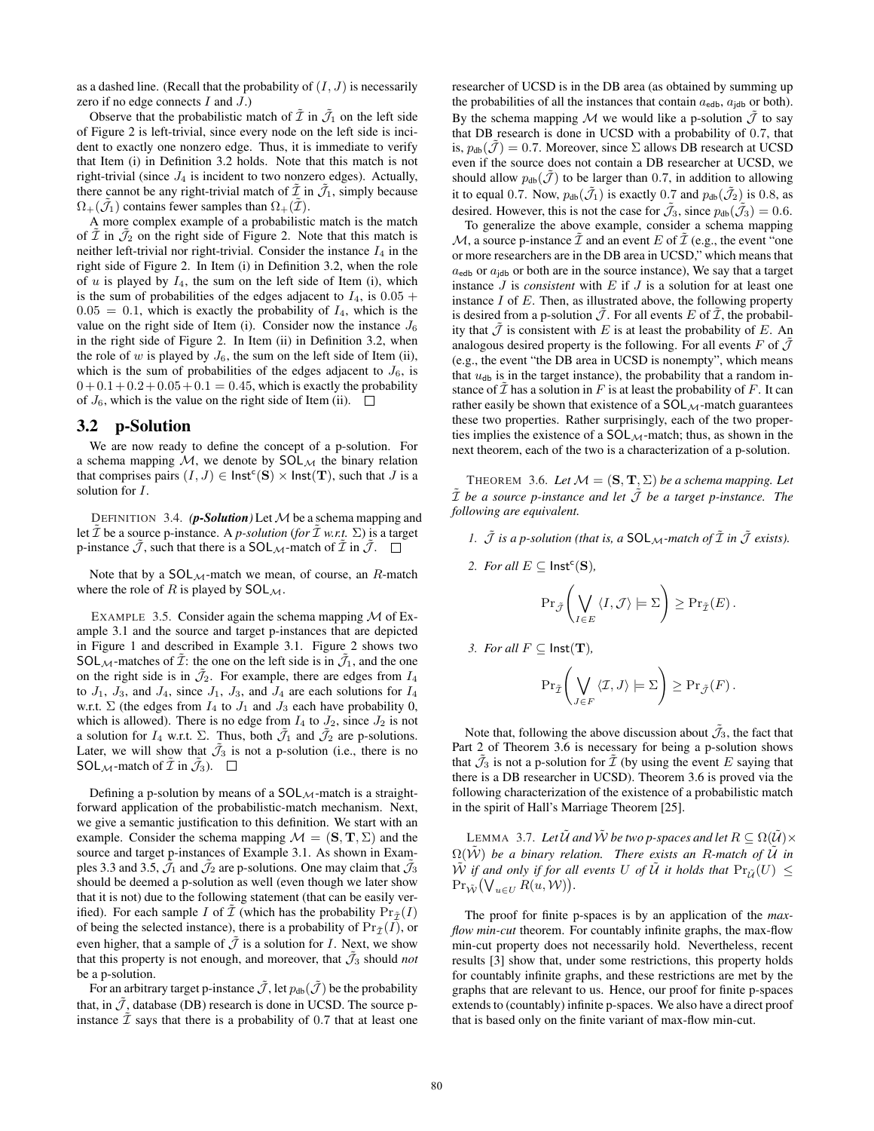as a dashed line. (Recall that the probability of  $(I, J)$  is necessarily zero if no edge connects  $I$  and  $J$ .)

Observe that the probabilistic match of  $\tilde{\mathcal{I}}$  in  $\tilde{\mathcal{J}}_1$  on the left side of Figure 2 is left-trivial, since every node on the left side is incident to exactly one nonzero edge. Thus, it is immediate to verify that Item (i) in Definition 3.2 holds. Note that this match is not right-trivial (since  $J_4$  is incident to two nonzero edges). Actually, there cannot be any right-trivial match of  $\mathcal I$  in  $\mathcal J_1$ , simply because  $\Omega_+(\mathcal{J}_1)$  contains fewer samples than  $\Omega_+(\mathcal{I})$ .

A more complex example of a probabilistic match is the match of  $\tilde{\mathcal{I}}$  in  $\tilde{\mathcal{J}}_2$  on the right side of Figure 2. Note that this match is neither left-trivial nor right-trivial. Consider the instance  $I_4$  in the right side of Figure 2. In Item (i) in Definition 3.2, when the role of  $u$  is played by  $I_4$ , the sum on the left side of Item (i), which is the sum of probabilities of the edges adjacent to  $I_4$ , is  $0.05 +$  $0.05 = 0.1$ , which is exactly the probability of  $I_4$ , which is the value on the right side of Item (i). Consider now the instance  $J_6$ in the right side of Figure 2. In Item (ii) in Definition 3.2, when the role of w is played by  $J_6$ , the sum on the left side of Item (ii), which is the sum of probabilities of the edges adjacent to  $J_6$ , is  $0+0.1+0.2+0.05+0.1 = 0.45$ , which is exactly the probability of  $J_6$ , which is the value on the right side of Item (ii).  $\Box$ 

#### 3.2 p-Solution

We are now ready to define the concept of a p-solution. For a schema mapping  $M$ , we denote by  $SOL_{\mathcal{M}}$  the binary relation that comprises pairs  $(I, J) \in \text{Inst}^c(S) \times \text{Inst}(T)$ , such that  $J$  is a solution for I.

DEFINITION 3.4.  $(p\text{-}Solution)$  Let M be a schema mapping and let  $\tilde{\mathcal{I}}$  be a source p-instance. A *p-solution* (*for*  $\tilde{\mathcal{I}}$  *w.r.t.*  $\Sigma$ ) is a target p-instance  $\tilde{\mathcal{J}}$ , such that there is a SOL<sub>M</sub>-match of  $\tilde{\mathcal{I}}$  in  $\tilde{\mathcal{J}}$ .  $\Box$ 

Note that by a  $SOL_{\mathcal{M}}$ -match we mean, of course, an  $R$ -match where the role of R is played by  $SOL_{\mathcal{M}}$ .

EXAMPLE 3.5. Consider again the schema mapping  $M$  of Example 3.1 and the source and target p-instances that are depicted in Figure 1 and described in Example 3.1. Figure 2 shows two SOL $_{\mathcal{M}}$ -matches of  $\tilde{\mathcal{I}}$ : the one on the left side is in  $\tilde{\mathcal{J}}_1$ , and the one on the right side is in  $\tilde{J}_2$ . For example, there are edges from  $I_4$ to  $J_1$ ,  $J_3$ , and  $J_4$ , since  $J_1$ ,  $J_3$ , and  $J_4$  are each solutions for  $I_4$ w.r.t.  $\Sigma$  (the edges from  $I_4$  to  $J_1$  and  $J_3$  each have probability 0, which is allowed). There is no edge from  $I_4$  to  $J_2$ , since  $J_2$  is not a solution for  $I_4$  w.r.t.  $\Sigma$ . Thus, both  $\tilde{J}_1$  and  $\tilde{J}_2$  are p-solutions. Later, we will show that  $\mathcal{J}_3$  is not a p-solution (i.e., there is no SOL  $\mathcal{M}$ -match of  $\tilde{\mathcal{I}}$  in  $\tilde{\mathcal{J}}_3$ ).  $\Box$ 

Defining a p-solution by means of a  $SOL_{\mathcal{M}}$ -match is a straightforward application of the probabilistic-match mechanism. Next, we give a semantic justification to this definition. We start with an example. Consider the schema mapping  $\mathcal{M} = (\mathbf{S}, \mathbf{T}, \Sigma)$  and the source and target p-instances of Example 3.1. As shown in Examples 3.3 and 3.5,  $\tilde{J}_1$  and  $\tilde{J}_2$  are p-solutions. One may claim that  $\tilde{J}_3$ should be deemed a p-solution as well (even though we later show that it is not) due to the following statement (that can be easily verified). For each sample I of  $\overline{\mathcal{I}}$  (which has the probability  $Pr_{\overline{\mathcal{I}}}(I)$ of being the selected instance), there is a probability of  $Pr_{\tilde{\tau}}(I)$ , or even higher, that a sample of  $\tilde{J}$  is a solution for *I*. Next, we show that this property is not enough, and moreover, that  $\tilde{J}_3$  should *not* be a p-solution.

For an arbitrary target p-instance  $\tilde{\mathcal{J}}$ , let  $p_{db}(\tilde{\mathcal{J}})$  be the probability that, in  $\tilde{J}$ , database (DB) research is done in UCSD. The source pinstance  $\tilde{\mathcal{I}}$  says that there is a probability of 0.7 that at least one researcher of UCSD is in the DB area (as obtained by summing up the probabilities of all the instances that contain  $a_{\text{edb}}$ ,  $a_{\text{idb}}$  or both). By the schema mapping M we would like a p-solution  $\tilde{J}$  to say that DB research is done in UCSD with a probability of 0.7, that is,  $p_{db}(\tilde{\mathcal{J}}) = 0.7$ . Moreover, since  $\Sigma$  allows DB research at UCSD even if the source does not contain a DB researcher at UCSD, we should allow  $p_{db}(\mathcal{J})$  to be larger than 0.7, in addition to allowing it to equal 0.7. Now,  $p_{db}(\tilde{J}_1)$  is exactly 0.7 and  $p_{db}(\tilde{J}_2)$  is 0.8, as desired. However, this is not the case for  $\mathcal{J}_3$ , since  $p_{db}(\mathcal{J}_3) = 0.6$ .

To generalize the above example, consider a schema mapping M, a source p-instance  $\mathcal I$  and an event E of  $\mathcal I$  (e.g., the event "one or more researchers are in the DB area in UCSD," which means that  $a_{\text{edb}}$  or  $a_{\text{idb}}$  or both are in the source instance), We say that a target instance J is *consistent* with E if J is a solution for at least one instance I of E. Then, as illustrated above, the following property is desired from a p-solution  $\tilde{\mathcal{J}}$ . For all events E of  $\tilde{\mathcal{I}}$ , the probability that  $\mathcal J$  is consistent with E is at least the probability of E. An analogous desired property is the following. For all events F of  $\tilde{\mathcal{J}}$ (e.g., the event "the DB area in UCSD is nonempty", which means that  $u_{\text{db}}$  is in the target instance), the probability that a random instance of  $\overline{\mathcal{I}}$  has a solution in F is at least the probability of F. It can rather easily be shown that existence of a  $SOL_{\mathcal{M}}$ -match guarantees these two properties. Rather surprisingly, each of the two properties implies the existence of a  $SOL_{\mathcal{M}}$ -match; thus, as shown in the next theorem, each of the two is a characterization of a p-solution.

THEOREM 3.6. Let  $M = (\mathbf{S}, \mathbf{T}, \Sigma)$  be a schema mapping. Let  $\tilde{\mathcal{I}}$  *be a source p-instance and let*  $\tilde{\mathcal{J}}$  *be a target p-instance. The following are equivalent.*

- *1.*  $\tilde{J}$  *is a p-solution (that is, a* SOL<sub>M</sub>-match of  $\tilde{I}$  *in*  $\tilde{J}$  *exists).*
- 2. *For all*  $E \subseteq \text{Inst}^c(S)$ *,*

$$
\Pr_{\tilde{\mathcal{J}}} \left( \bigvee_{I \in E} \langle I, \mathcal{J} \rangle \models \Sigma \right) \geq \Pr_{\tilde{\mathcal{I}}}(E).
$$

*3. For all*  $F \subseteq$  **lnst** $(T)$ *,* 

$$
\Pr_{\tilde{\mathcal{I}}} \left( \bigvee_{J \in F} \langle \mathcal{I}, J \rangle \models \Sigma \right) \geq \Pr_{\tilde{\mathcal{J}}}(F).
$$

Note that, following the above discussion about  $\tilde{J}_3$ , the fact that Part 2 of Theorem 3.6 is necessary for being a p-solution shows that  $\tilde{J}_3$  is not a p-solution for  $\tilde{I}$  (by using the event E saying that there is a DB researcher in UCSD). Theorem 3.6 is proved via the following characterization of the existence of a probabilistic match in the spirit of Hall's Marriage Theorem [25].

LEMMA 3.7. Let  $\tilde{U}$  and  $\tilde{W}$  be two p-spaces and let  $R \subseteq \Omega(\tilde{U}) \times$  $\Omega(\tilde{\mathcal{W}})$  be a binary relation. There exists an R-match of  $\tilde{\mathcal{U}}$  in  $\tilde{W}$  *if and only if for all events* U *of*  $\tilde{U}$  *it holds that*  $Pr_{\tilde{U}}(U) \leq$  $\Pr_{\tilde{\mathcal{W}}}(\bigvee_{u\in U} R(u,\mathcal{W}))$ .

The proof for finite p-spaces is by an application of the *maxflow min-cut* theorem. For countably infinite graphs, the max-flow min-cut property does not necessarily hold. Nevertheless, recent results [3] show that, under some restrictions, this property holds for countably infinite graphs, and these restrictions are met by the graphs that are relevant to us. Hence, our proof for finite p-spaces extends to (countably) infinite p-spaces. We also have a direct proof that is based only on the finite variant of max-flow min-cut.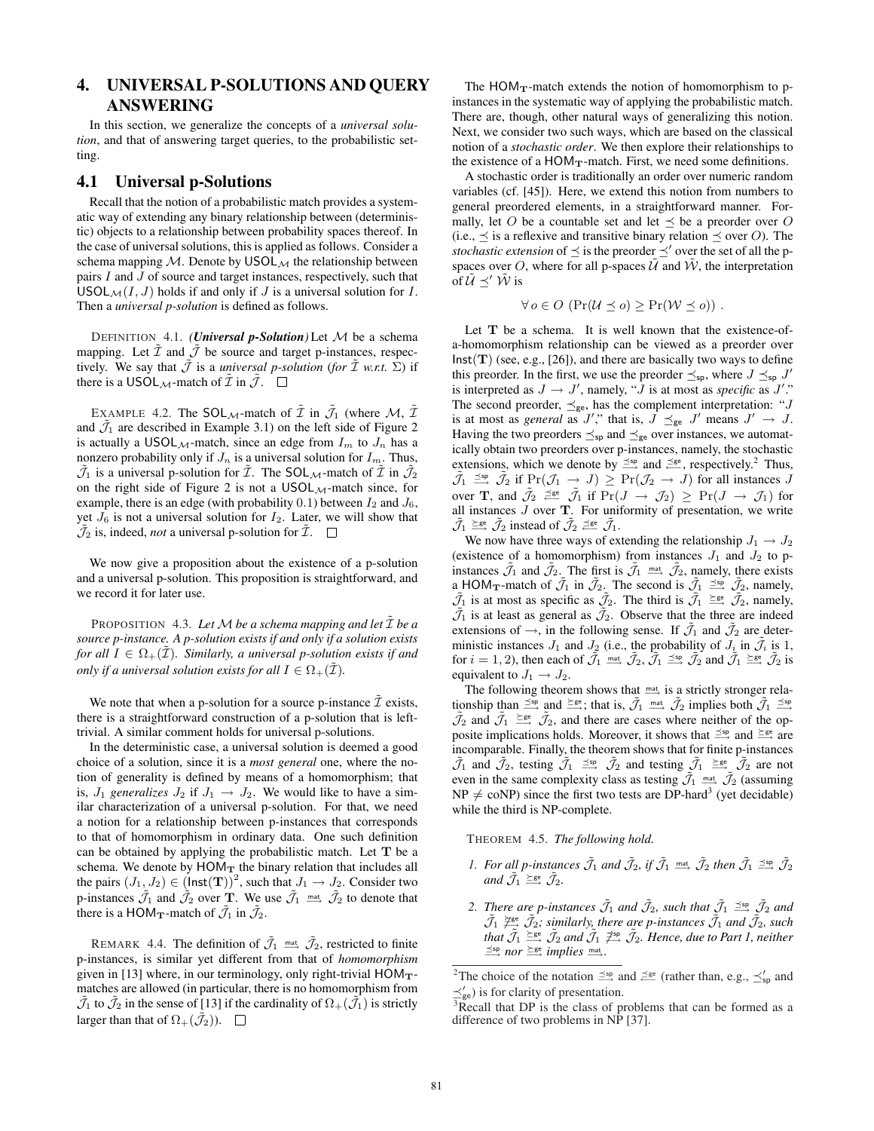# 4. UNIVERSAL P-SOLUTIONS AND QUERY ANSWERING

In this section, we generalize the concepts of a *universal solution*, and that of answering target queries, to the probabilistic setting.

## 4.1 Universal p-Solutions

Recall that the notion of a probabilistic match provides a systematic way of extending any binary relationship between (deterministic) objects to a relationship between probability spaces thereof. In the case of universal solutions, this is applied as follows. Consider a schema mapping  $M$ . Denote by USOL<sub>M</sub> the relationship between pairs  $I$  and  $J$  of source and target instances, respectively, such that  $USOL_{\mathcal{M}}(I, J)$  holds if and only if J is a universal solution for I. Then a *universal p-solution* is defined as follows.

DEFINITION 4.1. *(Universal p-Solution)* Let M be a schema mapping. Let  $\tilde{\mathcal{I}}$  and  $\tilde{\mathcal{J}}$  be source and target p-instances, respectively. We say that  $\tilde{J}$  is a *universal p-solution* (*for*  $\tilde{I}$  *w.r.t.*  $\Sigma$ ) if there is a USOL<sub>M</sub>-match of  $\mathcal I$  in  $\mathcal J$ .  $\Box$ 

EXAMPLE 4.2. The SOL $_{\mathcal{M}}$ -match of  $\tilde{\mathcal{I}}$  in  $\tilde{\mathcal{J}}_1$  (where  $\mathcal{M}, \tilde{\mathcal{I}}$ and  $\tilde{J}_1$  are described in Example 3.1) on the left side of Figure 2 is actually a USOL $_M$ -match, since an edge from  $I_m$  to  $J_n$  has a nonzero probability only if  $J_n$  is a universal solution for  $I_m$ . Thus,  $\tilde{J}_1$  is a universal p-solution for  $\tilde{I}$ . The SOL<sub>M</sub>-match of  $\tilde{I}$  in  $\tilde{J}_2$ on the right side of Figure 2 is not a  $USOL_{\mathcal{M}}$ -match since, for example, there is an edge (with probability 0.1) between  $I_2$  and  $J_6$ , yet  $J_6$  is not a universal solution for  $I_2$ . Later, we will show that  $\tilde{J}_2$  is, indeed, *not* a universal p-solution for  $\tilde{I}$ .  $\Box$ 

We now give a proposition about the existence of a p-solution and a universal p-solution. This proposition is straightforward, and we record it for later use.

PROPOSITION 4.3. Let M be a schema mapping and let  $\tilde{\mathcal{I}}$  be a *source p-instance. A p-solution exists if and only if a solution exists for all*  $I \in \Omega_+(\tilde{\mathcal{I}})$ *. Similarly, a universal p-solution exists if and only if a universal solution exists for all*  $I \in \Omega_+(\tilde{\mathcal{I}})$ *.* 

We note that when a p-solution for a source p-instance  $\tilde{\mathcal{I}}$  exists, there is a straightforward construction of a p-solution that is lefttrivial. A similar comment holds for universal p-solutions.

In the deterministic case, a universal solution is deemed a good choice of a solution, since it is a *most general* one, where the notion of generality is defined by means of a homomorphism; that is,  $J_1$  generalizes  $J_2$  if  $J_1 \rightarrow J_2$ . We would like to have a similar characterization of a universal p-solution. For that, we need a notion for a relationship between p-instances that corresponds to that of homomorphism in ordinary data. One such definition can be obtained by applying the probabilistic match. Let  $T$  be a schema. We denote by  $HOM_T$  the binary relation that includes all the pairs  $(J_1, J_2) \in (\textsf{Inst}(\mathbf{T}))^2$ , such that  $J_1 \to J_2$ . Consider two p-instances  $\tilde{\mathcal{J}}_1$  and  $\tilde{\mathcal{J}}_2$  over **T**. We use  $\tilde{\mathcal{J}}_1$   $\overset{\text{mat}}{\longrightarrow}$   $\tilde{\mathcal{J}}_2$  to denote that there is a HOM $_{\text{T}}$ -match of  $\tilde{J}_1$  in  $\tilde{J}_2$ .

REMARK 4.4. The definition of  $\tilde{J}_1 \stackrel{\text{mat}}{\longrightarrow} \tilde{J}_2$ , restricted to finite p-instances, is similar yet different from that of *homomorphism* given in [13] where, in our terminology, only right-trivial  $HOM_T$ matches are allowed (in particular, there is no homomorphism from  $\tilde{\mathcal{J}}_1$  to  $\tilde{\mathcal{J}}_2$  in the sense of [13] if the cardinality of  $\Omega_+(\tilde{\mathcal{J}}_1)$  is strictly larger than that of  $\Omega_+(\tilde{\mathcal{J}}_2)$ ).  $\Box$ 

The  $HOM_T$ -match extends the notion of homomorphism to pinstances in the systematic way of applying the probabilistic match. There are, though, other natural ways of generalizing this notion. Next, we consider two such ways, which are based on the classical notion of a *stochastic order*. We then explore their relationships to the existence of a  $HOM_T$ -match. First, we need some definitions.

A stochastic order is traditionally an order over numeric random variables (cf. [45]). Here, we extend this notion from numbers to general preordered elements, in a straightforward manner. Formally, let O be a countable set and let  $\preceq$  be a preorder over O (i.e.,  $\preceq$  is a reflexive and transitive binary relation  $\preceq$  over O). The *stochastic extension* of  $\preceq$  is the preorder  $\preceq'$  over the set of all the pspaces over O, where for all p-spaces  $\tilde{U}$  and  $\tilde{W}$ , the interpretation of  $\tilde{U} \preceq' \tilde{W}$  is

$$
\forall o \in O \; (\Pr(\mathcal{U} \preceq o) \geq \Pr(\mathcal{W} \preceq o)) \; .
$$

Let **T** be a schema. It is well known that the existence-ofa-homomorphism relationship can be viewed as a preorder over  $Inst(T)$  (see, e.g., [26]), and there are basically two ways to define this preorder. In the first, we use the preorder  $\preceq_{\text{sp}}$ , where  $J \preceq_{\text{sp}} J'$ is interpreted as  $J \to J'$ , namely, " $\bar{J}$  is at most as *specific* as  $J'$ ." The second preorder,  $\preceq_{ge}$ , has the complement interpretation: "J is at most as *general* as J'," that is,  $J \preceq_{ge} J'$  means  $J' \rightarrow J$ . Having the two preorders  $\preceq_{\text{sp}}$  and  $\preceq_{\text{ge}}$  over instances, we automatically obtain two preorders over p-instances, namely, the stochastic extensions, which we denote by  $\leq^{\text{sp}}$  and  $\leq^{\text{ge}}$ , respectively.<sup>2</sup> Thus,  $\tilde{\mathcal{J}}_1 \stackrel{\leq \text{sp}}{\longrightarrow} \tilde{\mathcal{J}}_2$  if  $\Pr(\mathcal{J}_1 \to J) \geq \Pr(\mathcal{J}_2 \to J)$  for all instances J over **T**, and  $\tilde{\mathcal{J}}_2 \stackrel{\preceq_{\text{ge}}}{\longleftarrow} \tilde{\mathcal{J}}_1$  if  $\Pr(J \to \mathcal{J}_2) \geq \Pr(J \to \mathcal{J}_1)$  for all instances  $J$  over  $T$ . For uniformity of presentation, we write  $\tilde{\mathcal{J}}_1 \stackrel{\succeq \text{ge}}{\longrightarrow} \tilde{\mathcal{J}}_2$  instead of  $\tilde{\mathcal{J}}_2 \stackrel{\succeq \text{ge}}{\longrightarrow} \tilde{\mathcal{J}}_1$ .

We now have three ways of extending the relationship  $J_1 \rightarrow J_2$ (existence of a homomorphism) from instances  $J_1$  and  $J_2$  to pinstances  $\tilde{J}_1$  and  $\tilde{J}_2$ . The first is  $\tilde{J}_1 \stackrel{\text{mat}}{\longrightarrow} \tilde{J}_2$ , namely, there exists a HOM<sub>T</sub>-match of  $\tilde{J}_1$  in  $\tilde{J}_2$ . The second is  $\tilde{J}_1 \stackrel{\leq \text{sp}}{=} \tilde{J}_2$ , namely,  $\tilde{J}_1$  is at most as specific as  $\tilde{J}_2$ . The third is  $\tilde{J}_1 \stackrel{\succeq{\rm ge}}{\longrightarrow} \tilde{J}_2$ , namely,  $\tilde{J}_1$  is at least as general as  $\tilde{J}_2$ . Observe that the three are indeed extensions of  $\rightarrow$ , in the following sense. If  $\tilde{J}_1$  and  $\tilde{J}_2$  are deterministic instances  $J_1$  and  $J_2$  (i.e., the probability of  $J_i$  in  $\tilde{J}_i$  is 1, for  $i = 1, 2$ ), then each of  $\tilde{J}_1 \stackrel{\text{mat}}{\longrightarrow} \tilde{J}_2$ ,  $\tilde{J}_1 \stackrel{\leq \text{sp}}{\longrightarrow} \tilde{J}_2$  and  $\tilde{J}_1 \stackrel{\leq \text{ge}}{\longrightarrow} \tilde{J}_2$  is equivalent to  $J_1 \rightarrow J_2$ .

The following theorem shows that  $m \rightarrow \infty$  is a strictly stronger relationship than  $\leq^{\text{sp}}$  and  $\leq^{\text{ge}}$ ; that is,  $\tilde{J}_1 \stackrel{\text{mat}}{\longrightarrow} \tilde{J}_2$  implies both  $\tilde{J}_1 \leq^{\text{sp}}$  $\tilde{\mathcal{J}}_2$  and  $\tilde{\mathcal{J}}_1 \stackrel{\succeq \text{ge}}{\longrightarrow} \tilde{\mathcal{J}}_2$ , and there are cases where neither of the opposite implications holds. Moreover, it shows that  $\leq^{\text{sp}}$  and  $\leq^{\text{ge}}$  are incomparable. Finally, the theorem shows that for finite p-instances  $\tilde{\mathcal{J}}_1$  and  $\tilde{\mathcal{J}}_2$ , testing  $\tilde{\mathcal{J}}_1 \stackrel{\leq \text{sp}}{\longrightarrow} \tilde{\mathcal{J}}_2$  and testing  $\tilde{\mathcal{J}}_1 \stackrel{\geq \text{ge}}{\longrightarrow} \tilde{\mathcal{J}}_2$  are not even in the same complexity class as testing  $\tilde{J}_1 \stackrel{\text{mat}}{\longrightarrow} \tilde{J}_2$  (assuming  $NP \neq conP$ ) since the first two tests are DP-hard<sup>3</sup> (yet decidable) while the third is NP-complete.

THEOREM 4.5. *The following hold.*

- 1. For all p-instances  $\tilde{J}_1$  and  $\tilde{J}_2$ , if  $\tilde{J}_1 \stackrel{\text{mat}}{\longrightarrow} \tilde{J}_2$  then  $\tilde{J}_1 \stackrel{\text{sep}}{\longrightarrow} \tilde{J}_2$ and  $\tilde{\mathcal{J}}_1 \stackrel{\succeq_{\mathsf{ge}}}{\longrightarrow} \tilde{\mathcal{J}}_2$ .
- 2. *There are p-instances*  $\tilde{J}_1$  *and*  $\tilde{J}_2$ *, such that*  $\tilde{J}_1 \stackrel{\leq \text{sp}}{\longrightarrow} \tilde{J}_2$  *and*  $\tilde{\mathcal{J}}_1 \not\cong^{\text{ges}} \tilde{\mathcal{J}}_2$ *; similarly, there are p-instances*  $\tilde{\mathcal{J}}_1$  *and*  $\tilde{\mathcal{J}}_2$ *, such* that  $\tilde{\mathcal{J}}_1 \stackrel{\succeq_{\rm{ge}}}{\longrightarrow} \tilde{\mathcal{J}}_2$  and  $\tilde{\mathcal{J}}_1 \not\stackrel{\succeq_{\rm{sp}}}{\longrightarrow} \tilde{\mathcal{J}}_2$ . Hence, due to Part 1, neither  $\stackrel{\leq sp}{\longrightarrow}$  *nor*  $\stackrel{\geq ge}{\longrightarrow}$  *implies*  $\stackrel{\text{mat}}{\longrightarrow}$ *.*

<sup>&</sup>lt;sup>2</sup>The choice of the notation  $\leq^{\text{sp}}$  and  $\leq^{\text{ge}}$  (rather than, e.g.,  $\leq'_{\text{sp}}$  and  $\preceq'_{ge}$ ) is for clarity of presentation.

 $\frac{3}{3}$ Recall that DP is the class of problems that can be formed as a difference of two problems in  $N\hat{P}$  [37].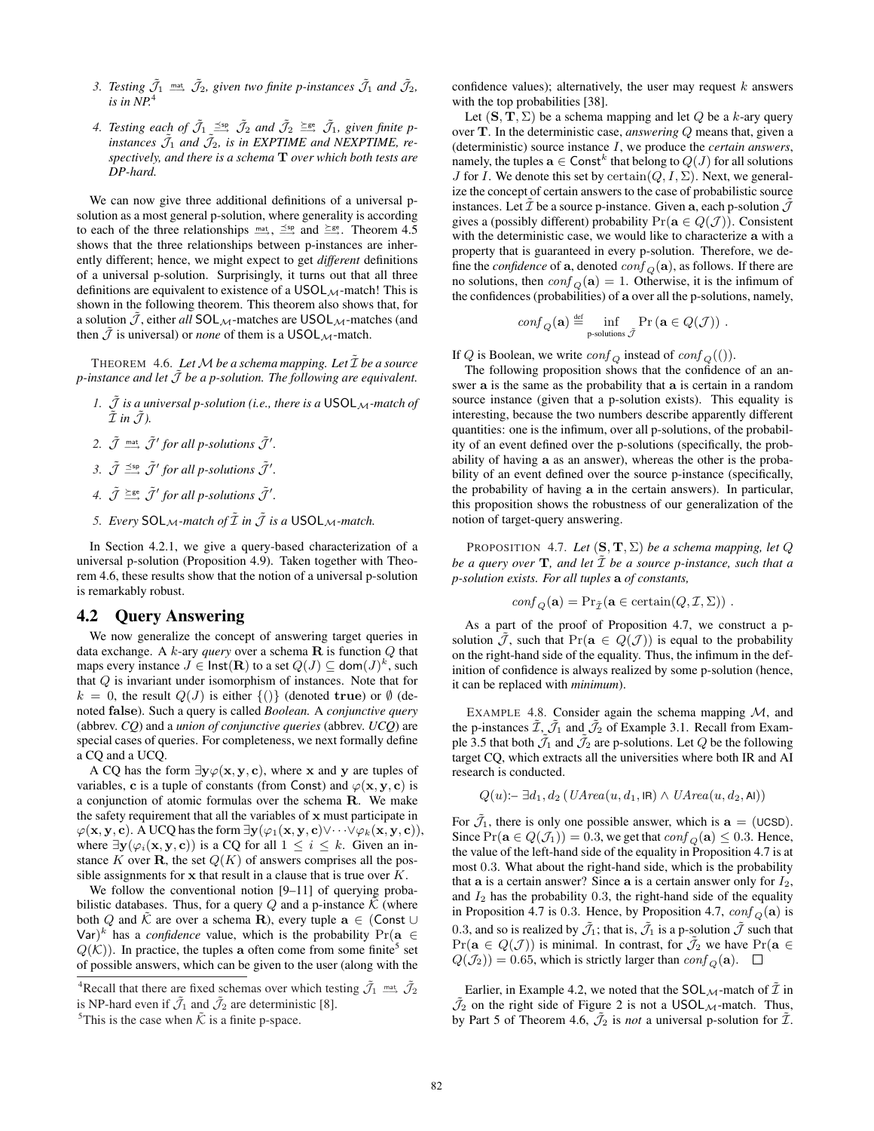- 3. Testing  $\tilde{J}_1 \stackrel{\text{mat}}{\longrightarrow} \tilde{J}_2$ , given two finite p-instances  $\tilde{J}_1$  and  $\tilde{J}_2$ ,  $i$ *s* in  $\overline{NP}$ .
- 4. Testing each of  $\tilde{J}_1 \stackrel{\leq \mathfrak{sp}}{\longrightarrow} \tilde{J}_2$  and  $\tilde{J}_2 \stackrel{\geq \mathfrak{ge}}{\longrightarrow} \tilde{J}_1$ , given finite pinstances  $\tilde{J}_1$  and  $\tilde{J}_2$ , is in EXPTIME and NEXPTIME, re*spectively, and there is a schema* T *over which both tests are DP-hard.*

We can now give three additional definitions of a universal psolution as a most general p-solution, where generality is according to each of the three relationships  $m\rightarrow \frac{1}{2}$ ,  $\frac{1}{2}$  and  $\frac{1}{2}$  and  $\frac{1}{2}$ . Theorem 4.5 shows that the three relationships between p-instances are inherently different; hence, we might expect to get *different* definitions of a universal p-solution. Surprisingly, it turns out that all three definitions are equivalent to existence of a  $USOL_{\mathcal{M}}$ -match! This is shown in the following theorem. This theorem also shows that, for a solution  $\tilde{J}$ , either *all* SOL<sub>M</sub>-matches are USOL<sub>M</sub>-matches (and then  $\mathcal J$  is universal) or *none* of them is a USOL<sub>M</sub>-match.

THEOREM 4.6. Let  $M$  be a schema mapping. Let  $\tilde{\mathcal{I}}$  be a source *p*-instance and let  $\tilde{J}$  be a p-solution. The following are equivalent.

- *1.*  $\tilde{J}$  *is a universal p-solution (i.e., there is a* USOL $_{\mathcal{M}}$ *-match of*  $\tilde{\mathcal{I}}$  *in*  $\tilde{\mathcal{J}}$ *)*.
- 2.  $\tilde{\mathcal{J}}$  mat  $\tilde{\mathcal{J}}'$  for all p-solutions  $\tilde{\mathcal{J}}'$ .
- 3.  $\tilde{\mathcal{J}} \stackrel{\leq \text{sp}}{\longrightarrow} \tilde{\mathcal{J}}'$  for all p-solutions  $\tilde{\mathcal{J}}'$ .
- *4.*  $\tilde{\mathcal{J}} \stackrel{\simeq}{\longrightarrow} \tilde{\mathcal{J}}'$  for all p-solutions  $\tilde{\mathcal{J}}'$ .
- *5. Every*  $SOL_M$ -match of  $\tilde{\mathcal{I}}$  *in*  $\tilde{\mathcal{J}}$  *is a* USOL<sub>M</sub>-match.

In Section 4.2.1, we give a query-based characterization of a universal p-solution (Proposition 4.9). Taken together with Theorem 4.6, these results show that the notion of a universal p-solution is remarkably robust.

#### 4.2 Query Answering

We now generalize the concept of answering target queries in data exchange. A  $k$ -ary *query* over a schema  $\bf{R}$  is function  $Q$  that maps every instance  $J \in \textsf{Inst}(\mathbf{R})$  to a set  $Q(J) \subseteq \textsf{dom}(J)^k$ , such that Q is invariant under isomorphism of instances. Note that for  $k = 0$ , the result  $Q(J)$  is either  $\{()\}$  (denoted true) or  $\emptyset$  (denoted false). Such a query is called *Boolean.* A *conjunctive query* (abbrev. *CQ*) and a *union of conjunctive queries* (abbrev. *UCQ*) are special cases of queries. For completeness, we next formally define a CQ and a UCQ.

A CQ has the form  $\exists y \varphi(x, y, c)$ , where x and y are tuples of variables, c is a tuple of constants (from Const) and  $\varphi(\mathbf{x}, \mathbf{y}, \mathbf{c})$  is a conjunction of atomic formulas over the schema R. We make the safety requirement that all the variables of x must participate in  $\varphi(\mathbf{x}, \mathbf{y}, \mathbf{c})$ . A UCQ has the form  $\exists \mathbf{y}(\varphi_1(\mathbf{x}, \mathbf{y}, \mathbf{c}) \vee \cdots \vee \varphi_k(\mathbf{x}, \mathbf{y}, \mathbf{c}))$ , where  $\exists y(\varphi_i(x, y, c))$  is a CQ for all  $1 \leq i \leq k$ . Given an instance K over **R**, the set  $Q(K)$  of answers comprises all the possible assignments for  $x$  that result in a clause that is true over  $K$ .

We follow the conventional notion [9–11] of querying probabilistic databases. Thus, for a query Q and a p-instance  $\hat{K}$  (where both Q and  $\bar{K}$  are over a schema R), every tuple  $\mathbf{a} \in (\mathsf{Const} \cup \mathsf{C})$ Var)<sup>k</sup> has a *confidence* value, which is the probability  $Pr(a \in$  $Q(K)$ ). In practice, the tuples a often come from some finite<sup>5</sup> set of possible answers, which can be given to the user (along with the confidence values); alternatively, the user may request  $k$  answers with the top probabilities [38].

Let  $(S, T, \Sigma)$  be a schema mapping and let Q be a k-ary query over T. In the deterministic case, *answering* Q means that, given a (deterministic) source instance I, we produce the *certain answers*, namely, the tuples  $\mathbf{a} \in \mathsf{Const}^k$  that belong to  $Q(J)$  for all solutions J for I. We denote this set by certain $(Q, I, \Sigma)$ . Next, we generalize the concept of certain answers to the case of probabilistic source instances. Let  $\mathcal I$  be a source p-instance. Given a, each p-solution  $\mathcal J$ gives a (possibly different) probability  $Pr(a \in Q(\mathcal{J}))$ . Consistent with the deterministic case, we would like to characterize a with a property that is guaranteed in every p-solution. Therefore, we define the *confidence* of **a**, denoted  $\text{conf}_O(\mathbf{a})$ , as follows. If there are no solutions, then  $\text{conf}_O(\mathbf{a}) = 1$ . Otherwise, it is the infimum of the confidences (probabilities) of a over all the p-solutions, namely,

$$
conf_{Q}(\mathbf{a}) \stackrel{\text{def}}{=} \inf_{\text{p-solutions } \tilde{\mathcal{J}}} \Pr\left(\mathbf{a} \in Q(\mathcal{J})\right) .
$$

If Q is Boolean, we write  $\text{conf}_Q$  instead of  $\text{conf}_Q(())$ .

The following proposition shows that the confidence of an answer a is the same as the probability that a is certain in a random source instance (given that a p-solution exists). This equality is interesting, because the two numbers describe apparently different quantities: one is the infimum, over all p-solutions, of the probability of an event defined over the p-solutions (specifically, the probability of having a as an answer), whereas the other is the probability of an event defined over the source p-instance (specifically, the probability of having a in the certain answers). In particular, this proposition shows the robustness of our generalization of the notion of target-query answering.

PROPOSITION 4.7. Let  $(S, T, \Sigma)$  be a schema mapping, let  $Q$ *be a query over*  $\mathbf{T}$ *, and let*  $\tilde{\mathcal{I}}$  *be a source p-instance, such that a p-solution exists. For all tuples* a *of constants,*

$$
conf_Q(\mathbf{a}) = \Pr_{\tilde{\mathcal{I}}}(\mathbf{a} \in \text{certain}(Q, \mathcal{I}, \Sigma)) \ .
$$

As a part of the proof of Proposition 4.7, we construct a psolution J, such that  $Pr(a \in Q(J))$  is equal to the probability on the right-hand side of the equality. Thus, the infimum in the definition of confidence is always realized by some p-solution (hence, it can be replaced with *minimum*).

EXAMPLE 4.8. Consider again the schema mapping  $M$ , and the p-instances  $\mathcal{I}, \mathcal{J}_1$  and  $\mathcal{J}_2$  of Example 3.1. Recall from Example 3.5 that both  $\mathcal{J}_1$  and  $\mathcal{J}_2$  are p-solutions. Let Q be the following target CQ, which extracts all the universities where both IR and AI research is conducted.

$$
Q(u)\text{:=}\ \exists d_1,d_2\ (\mathit{UArea}(u,d_1,\mathit{IR})\wedge \mathit{UArea}(u,d_2,\mathit{Al}))
$$

For  $\bar{J}_1$ , there is only one possible answer, which is  $a = (UCSD)$ . Since  $Pr(\mathbf{a} \in Q(\mathcal{J}_1)) = 0.3$ , we get that  $conf_{\Omega}(\mathbf{a}) \leq 0.3$ . Hence, the value of the left-hand side of the equality in Proposition 4.7 is at most 0.3. What about the right-hand side, which is the probability that **a** is a certain answer? Since **a** is a certain answer only for  $I_2$ , and  $I_2$  has the probability 0.3, the right-hand side of the equality in Proposition 4.7 is 0.3. Hence, by Proposition 4.7,  $\text{conf}_Q(\mathbf{a})$  is 0.3, and so is realized by  $\tilde{J}_1$ ; that is,  $\tilde{J}_1$  is a p-solution  $\tilde{J}$  such that  $Pr(a \in Q(\mathcal{J}))$  is minimal. In contrast, for  $\mathcal{J}_2$  we have  $Pr(a \in$  $Q(\mathcal{J}_2)$  = 0.65, which is strictly larger than  $\text{conf}_O(\mathbf{a})$ .  $\Box$ 

Earlier, in Example 4.2, we noted that the  $SOL_{\mathcal{M}}$ -match of  $\tilde{\mathcal{I}}$  in  $\tilde{J}_2$  on the right side of Figure 2 is not a USOL<sub>M</sub>-match. Thus, by Part 5 of Theorem 4.6,  $\tilde{J}_2$  is *not* a universal p-solution for  $\tilde{\mathcal{I}}$ .

<sup>&</sup>lt;sup>4</sup>Recall that there are fixed schemas over which testing  $\tilde{J}_1 \stackrel{\text{mat}}{\longrightarrow} \tilde{J}_2$ is NP-hard even if  $\tilde{J}_1$  and  $\tilde{J}_2$  are deterministic [8].

<sup>&</sup>lt;sup>5</sup>This is the case when  $\tilde{\mathcal{K}}$  is a finite p-space.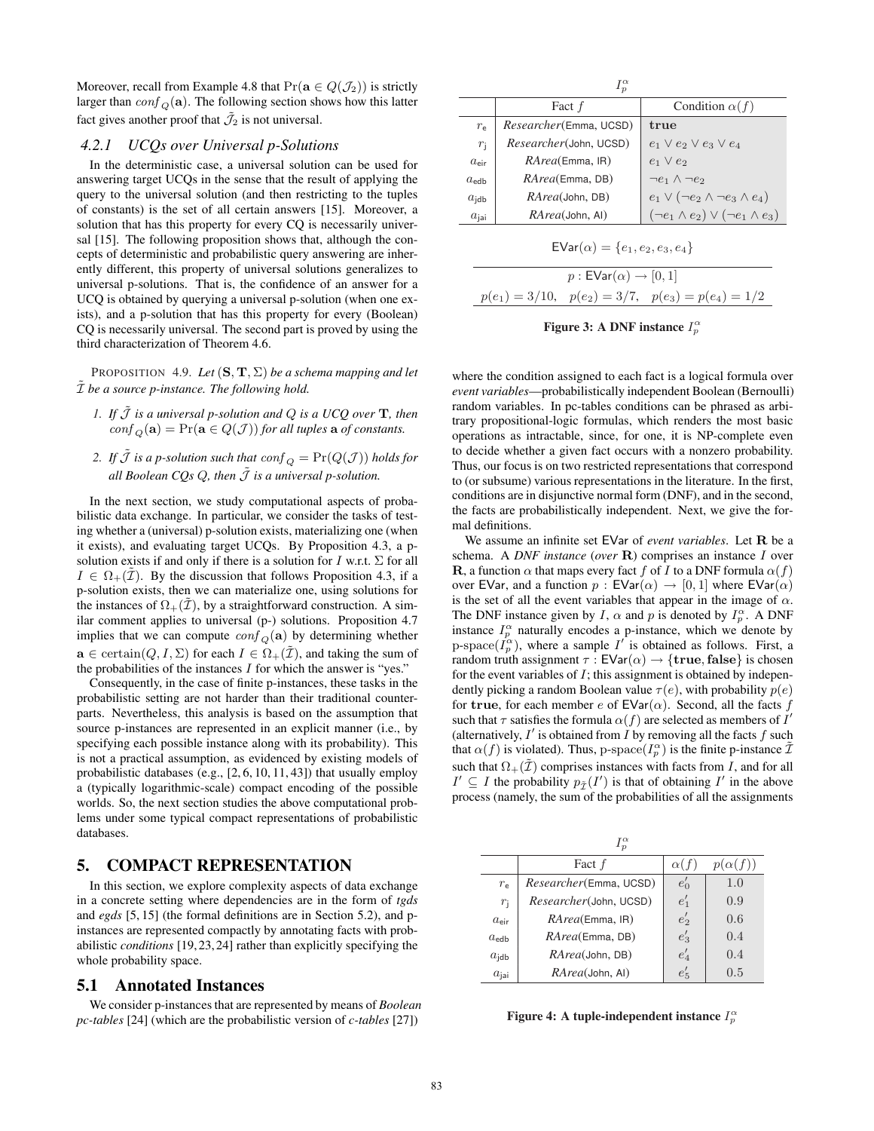Moreover, recall from Example 4.8 that  $Pr(\mathbf{a} \in Q(\mathcal{J}_2))$  is strictly larger than  $\text{conf}_Q(\mathbf{a})$ . The following section shows how this latter fact gives another proof that  $\tilde{J}_2$  is not universal.

#### *4.2.1 UCQs over Universal p-Solutions*

In the deterministic case, a universal solution can be used for answering target UCQs in the sense that the result of applying the query to the universal solution (and then restricting to the tuples of constants) is the set of all certain answers [15]. Moreover, a solution that has this property for every CQ is necessarily universal [15]. The following proposition shows that, although the concepts of deterministic and probabilistic query answering are inherently different, this property of universal solutions generalizes to universal p-solutions. That is, the confidence of an answer for a UCQ is obtained by querying a universal p-solution (when one exists), and a p-solution that has this property for every (Boolean) CQ is necessarily universal. The second part is proved by using the third characterization of Theorem 4.6.

PROPOSITION 4.9. *Let*  $(S, T, \Sigma)$  *be a schema mapping and let* I˜ *be a source p-instance. The following hold.*

- *1.* If  $\tilde{J}$  is a universal p-solution and  $Q$  is a UCQ over  $T$ , then  $\text{conf}_O(\mathbf{a}) = \Pr(\mathbf{a} \in Q(\mathcal{J}))$  *for all tuples*  $\mathbf{a}$  *of constants.*
- 2. If  $\tilde{\mathcal{J}}$  *is a p-solution such that*  $\text{conf}_Q = \Pr(Q(\mathcal{J}))$  *holds for all Boolean CQs Q, then*  $\tilde{J}$  *is a universal p-solution.*

In the next section, we study computational aspects of probabilistic data exchange. In particular, we consider the tasks of testing whether a (universal) p-solution exists, materializing one (when it exists), and evaluating target UCQs. By Proposition 4.3, a psolution exists if and only if there is a solution for I w.r.t.  $\Sigma$  for all  $I \in \Omega_+(\mathcal{I})$ . By the discussion that follows Proposition 4.3, if a p-solution exists, then we can materialize one, using solutions for the instances of  $\Omega_{+}(\mathcal{I})$ , by a straightforward construction. A similar comment applies to universal (p-) solutions. Proposition 4.7 implies that we can compute  $\text{conf}_O(\mathbf{a})$  by determining whether  $\mathbf{a} \in \text{certain}(Q, I, \Sigma)$  for each  $I \in \Omega_+(\tilde{\mathcal{I}})$ , and taking the sum of the probabilities of the instances  $I$  for which the answer is "yes."

Consequently, in the case of finite p-instances, these tasks in the probabilistic setting are not harder than their traditional counterparts. Nevertheless, this analysis is based on the assumption that source p-instances are represented in an explicit manner (i.e., by specifying each possible instance along with its probability). This is not a practical assumption, as evidenced by existing models of probabilistic databases (e.g., [2, 6, 10, 11, 43]) that usually employ a (typically logarithmic-scale) compact encoding of the possible worlds. So, the next section studies the above computational problems under some typical compact representations of probabilistic databases.

## 5. COMPACT REPRESENTATION

In this section, we explore complexity aspects of data exchange in a concrete setting where dependencies are in the form of *tgds* and *egds* [5, 15] (the formal definitions are in Section 5.2), and pinstances are represented compactly by annotating facts with probabilistic *conditions* [19,23,24] rather than explicitly specifying the whole probability space.

#### 5.1 Annotated Instances

We consider p-instances that are represented by means of *Boolean pc-tables* [24] (which are the probabilistic version of *c-tables* [27])

| $I_p^{\alpha}$   |                                |                                                  |  |  |  |  |
|------------------|--------------------------------|--------------------------------------------------|--|--|--|--|
|                  | Fact f                         | Condition $\alpha(f)$                            |  |  |  |  |
| $r_{\rm e}$      | <i>Researcher</i> (Emma, UCSD) | true                                             |  |  |  |  |
| $r_{\rm i}$      | Researcher(John, UCSD)         | $e_1 \vee e_2 \vee e_3 \vee e_4$                 |  |  |  |  |
| $a_{\text{eir}}$ | RArea(Emma, IR)                | $e_1 \vee e_2$                                   |  |  |  |  |
| $a_{\text{edh}}$ | RArea(Emma, DB)                | $\neg e_1 \wedge \neg e_2$                       |  |  |  |  |
| $a_{\text{idb}}$ | <i>RArea</i> (John, DB)        | $e_1 \vee (\neg e_2 \wedge \neg e_3 \wedge e_4)$ |  |  |  |  |
| $a_{\text{ini}}$ | <i>RArea</i> (John, AI)        | $(\neg e_1 \land e_2) \lor (\neg e_1 \land e_3)$ |  |  |  |  |
|                  |                                |                                                  |  |  |  |  |

$$
EVar(\alpha) = \{e_1, e_2, e_3, e_4\}
$$

| $p:$ EVar( $\alpha$ ) $\rightarrow$ [0, 1] |                                                            |
|--------------------------------------------|------------------------------------------------------------|
|                                            | $p(e_1) = 3/10$ , $p(e_2) = 3/7$ , $p(e_3) = p(e_4) = 1/2$ |

Figure 3: A DNF instance  $I_p^{\alpha}$ 

where the condition assigned to each fact is a logical formula over *event variables*—probabilistically independent Boolean (Bernoulli) random variables. In pc-tables conditions can be phrased as arbitrary propositional-logic formulas, which renders the most basic operations as intractable, since, for one, it is NP-complete even to decide whether a given fact occurs with a nonzero probability. Thus, our focus is on two restricted representations that correspond to (or subsume) various representations in the literature. In the first, conditions are in disjunctive normal form (DNF), and in the second, the facts are probabilistically independent. Next, we give the formal definitions.

We assume an infinite set EVar of *event variables*. Let R be a schema. A *DNF instance* (*over* R) comprises an instance I over **R**, a function  $\alpha$  that maps every fact f of I to a DNF formula  $\alpha(f)$ over EVar, and a function  $p : \text{EVar}(\alpha) \to [0, 1]$  where  $\text{EVar}(\alpha)$ is the set of all the event variables that appear in the image of  $\alpha$ . The DNF instance given by I,  $\alpha$  and p is denoted by  $I_p^{\alpha}$ . A DNF instance  $I_p^{\alpha}$  naturally encodes a p-instance, which we denote by p-space( $I_p^{\alpha}$ ), where a sample  $I^{\prime}$  is obtained as follows. First, a random truth assignment  $\tau : EVar(\alpha) \rightarrow \{true, false\}$  is chosen for the event variables of  $I$ ; this assignment is obtained by independently picking a random Boolean value  $\tau(e)$ , with probability  $p(e)$ for true, for each member e of  $EVar(\alpha)$ . Second, all the facts f such that  $\tau$  satisfies the formula  $\alpha(f)$  are selected as members of  $I'$ (alternatively,  $I'$  is obtained from  $\overline{I}$  by removing all the facts  $f$  such that  $\alpha(f)$  is violated). Thus, p-space( $I_p^{\alpha}$ ) is the finite p-instance  $\tilde{\mathcal{I}}$ such that  $\Omega_{+}(\tilde{\mathcal{I}})$  comprises instances with facts from I, and for all  $I' \subseteq I$  the probability  $p_{\tilde{I}}(I')$  is that of obtaining  $I'$  in the above process (namely, the sum of the probabilities of all the assignments

| $I_p^{\alpha}$   |                                |             |                |  |  |  |  |
|------------------|--------------------------------|-------------|----------------|--|--|--|--|
|                  | Fact $f$                       | $\alpha$ († | $p(\alpha(f))$ |  |  |  |  |
| $r_{\rm e}$      | <i>Researcher</i> (Emma, UCSD) | $e'_{0}$    | 1.0            |  |  |  |  |
| $r_{\rm i}$      | Researcher(John, UCSD)         | $e'_1$      | 0.9            |  |  |  |  |
| $a_{\text{eir}}$ | RArea(Emma, IR)                | $e_2'$      | 0.6            |  |  |  |  |
| $a_{\rm edh}$    | RArea(Emma, DB)                | $e'_3$      | 0.4            |  |  |  |  |
| $a_{\text{idb}}$ | RArea(John, DB)                | $e_4'$      | 0.4            |  |  |  |  |
| $a_{\rm ini}$    | RArea(John, Al)                | $e'_{5}$    | 0.5            |  |  |  |  |

Figure 4: A tuple-independent instance  $I_p^{\alpha}$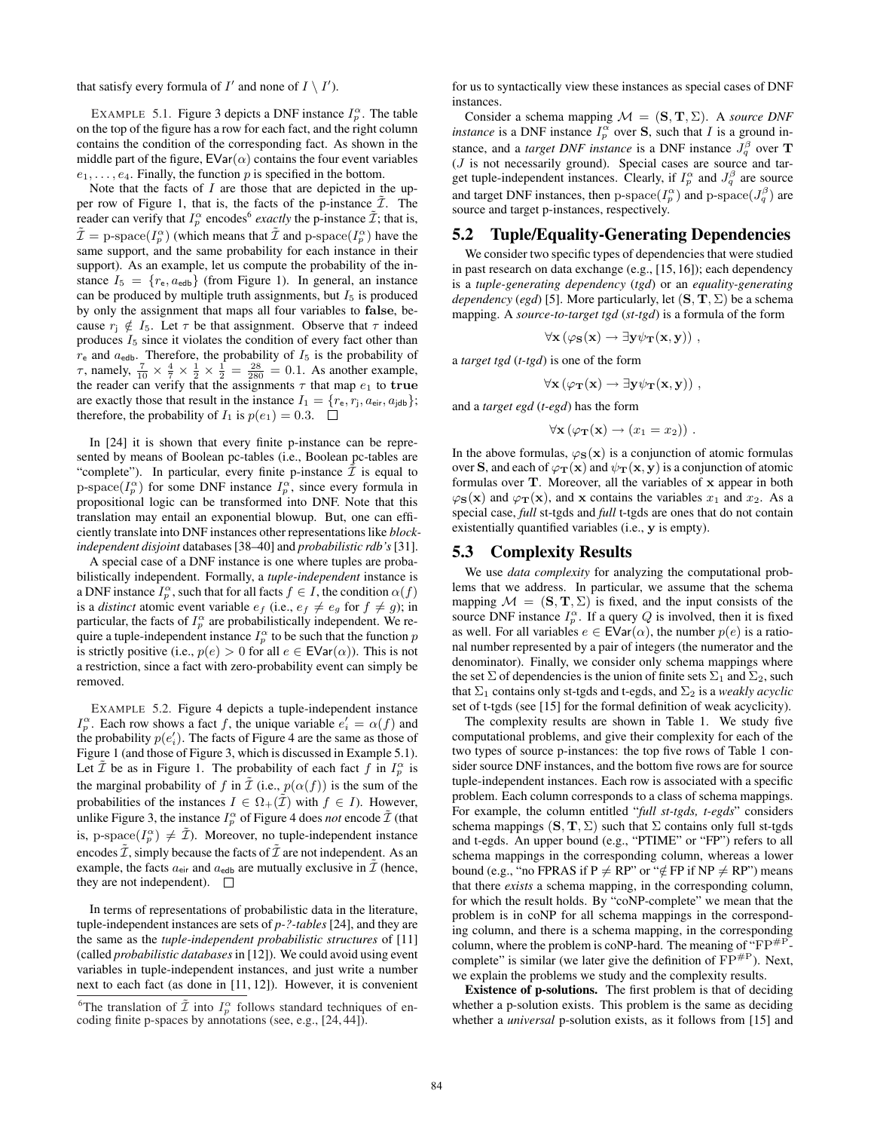that satisfy every formula of  $I'$  and none of  $I \setminus I'$ ).

EXAMPLE 5.1. Figure 3 depicts a DNF instance  $I_p^{\alpha}$ . The table on the top of the figure has a row for each fact, and the right column contains the condition of the corresponding fact. As shown in the middle part of the figure,  $EVar(\alpha)$  contains the four event variables  $e_1, \ldots, e_4$ . Finally, the function p is specified in the bottom.

Note that the facts of  $I$  are those that are depicted in the upper row of Figure 1, that is, the facts of the p-instance  $\tilde{\mathcal{I}}$ . The reader can verify that  $I_p^{\alpha}$  encodes<sup>6</sup> exactly the p-instance  $\tilde{\mathcal{I}}$ ; that is,  $\tilde{\mathcal{I}} = \text{p-space}(I_p^{\alpha})$  (which means that  $\tilde{\mathcal{I}}$  and p-space $(I_p^{\alpha})$  have the same support, and the same probability for each instance in their support). As an example, let us compute the probability of the instance  $I_5 = \{r_e, a_{edb}\}$  (from Figure 1). In general, an instance can be produced by multiple truth assignments, but  $I_5$  is produced by only the assignment that maps all four variables to false, because  $r_1 \notin I_5$ . Let  $\tau$  be that assignment. Observe that  $\tau$  indeed produces  $I_5$  since it violates the condition of every fact other than  $r_{\rm e}$  and  $a_{\rm edb}$ . Therefore, the probability of  $I_5$  is the probability of τ, namely,  $\frac{7}{10} \times \frac{4}{7} \times \frac{1}{2} \times \frac{1}{2} = \frac{28}{280} = 0.1$ . As another example, the reader can verify that the assignments  $\tau$  that map  $e_1$  to true are exactly those that result in the instance  $I_1 = \{r_e, r_i, a_{\text{eir}}, a_{\text{jdb}}\};$ therefore, the probability of  $I_1$  is  $p(e_1) = 0.3$ .

In [24] it is shown that every finite p-instance can be represented by means of Boolean pc-tables (i.e., Boolean pc-tables are "complete"). In particular, every finite p-instance  $\mathcal I$  is equal to p-space( $I_p^{\alpha}$ ) for some DNF instance  $I_p^{\alpha}$ , since every formula in propositional logic can be transformed into DNF. Note that this translation may entail an exponential blowup. But, one can efficiently translate into DNF instances other representations like *blockindependent disjoint* databases [38–40] and *probabilistic rdb's*[31].

A special case of a DNF instance is one where tuples are probabilistically independent. Formally, a *tuple-independent* instance is a DNF instance  $I_p^{\alpha}$ , such that for all facts  $f \in I$ , the condition  $\alpha(f)$ is a *distinct* atomic event variable  $e_f$  (i.e.,  $e_f \neq e_g$  for  $f \neq g$ ); in particular, the facts of  $I_p^{\alpha}$  are probabilistically independent. We require a tuple-independent instance  $I_p^{\alpha}$  to be such that the function p is strictly positive (i.e.,  $p(e) > 0$  for all  $e \in \text{EVar}(\alpha)$ ). This is not a restriction, since a fact with zero-probability event can simply be removed.

EXAMPLE 5.2. Figure 4 depicts a tuple-independent instance  $I_p^{\alpha}$ . Each row shows a fact f, the unique variable  $e'_i = \alpha(f)$  and the probability  $p(e'_i)$ . The facts of Figure 4 are the same as those of Figure 1 (and those of Figure 3, which is discussed in Example 5.1). Let  $\tilde{\mathcal{I}}$  be as in Figure 1. The probability of each fact f in  $I_p^{\alpha}$  is the marginal probability of f in  $\tilde{\mathcal{I}}$  (i.e.,  $p(\alpha(f))$  is the sum of the probabilities of the instances  $I \in \Omega_+(\mathcal{I})$  with  $f \in I$ ). However, unlike Figure 3, the instance  $I_p^{\alpha}$  of Figure 4 does *not* encode  $\tilde{\mathcal{I}}$  (that is, p-space $(I_p^{\alpha}) \neq \tilde{\mathcal{I}}$ ). Moreover, no tuple-independent instance encodes  $\tilde{\mathcal{I}}$ , simply because the facts of  $\tilde{\mathcal{I}}$  are not independent. As an example, the facts  $a_{\text{eir}}$  and  $a_{\text{edb}}$  are mutually exclusive in  $\mathcal{I}$  (hence, they are not independent).  $\Box$ 

In terms of representations of probabilistic data in the literature, tuple-independent instances are sets of *p-?-tables* [24], and they are the same as the *tuple-independent probabilistic structures* of [11] (called *probabilistic databases* in [12]). We could avoid using event variables in tuple-independent instances, and just write a number next to each fact (as done in [11, 12]). However, it is convenient for us to syntactically view these instances as special cases of DNF instances.

Consider a schema mapping  $\mathcal{M} = (\mathbf{S}, \mathbf{T}, \Sigma)$ . A *source DNF instance* is a DNF instance  $I_p^{\alpha}$  over **S**, such that *I* is a ground instance, and a *target DNF instance* is a DNF instance  $J_q^{\beta}$  over **T**  $(J$  is not necessarily ground). Special cases are source and target tuple-independent instances. Clearly, if  $I_p^{\alpha}$  and  $J_q^{\beta}$  are source and target DNF instances, then p-space $(I_p^{\alpha})$  and p-space $(J_q^{\beta})$  are source and target p-instances, respectively.

## 5.2 Tuple/Equality-Generating Dependencies

We consider two specific types of dependencies that were studied in past research on data exchange (e.g., [15, 16]); each dependency is a *tuple-generating dependency* (*tgd*) or an *equality-generating dependency* (*egd*) [5]. More particularly, let  $(S, T, \Sigma)$  be a schema mapping. A *source-to-target tgd* (*st-tgd*) is a formula of the form

$$
\forall \mathbf{x} (\varphi_{\mathbf{S}}(\mathbf{x}) \rightarrow \exists \mathbf{y} \psi_{\mathbf{T}}(\mathbf{x}, \mathbf{y})) ,
$$

a *target tgd* (*t-tgd*) is one of the form

$$
\forall \mathbf{x} \left( \varphi_{\mathbf{T}}(\mathbf{x}) \rightarrow \exists \mathbf{y} \psi_{\mathbf{T}}(\mathbf{x}, \mathbf{y}) \right),
$$

and a *target egd* (*t-egd*) has the form

$$
\forall \mathbf{x} (\varphi_{\mathbf{T}}(\mathbf{x}) \to (x_1 = x_2)) .
$$

In the above formulas,  $\varphi_{\mathbf{S}}(\mathbf{x})$  is a conjunction of atomic formulas over S, and each of  $\varphi_{\mathbf{T}}(\mathbf{x})$  and  $\psi_{\mathbf{T}}(\mathbf{x}, \mathbf{y})$  is a conjunction of atomic formulas over T. Moreover, all the variables of x appear in both  $\varphi_{S}(\mathbf{x})$  and  $\varphi_{T}(\mathbf{x})$ , and x contains the variables  $x_1$  and  $x_2$ . As a special case, *full* st-tgds and *full* t-tgds are ones that do not contain existentially quantified variables (i.e., y is empty).

#### 5.3 Complexity Results

We use *data complexity* for analyzing the computational problems that we address. In particular, we assume that the schema mapping  $\mathcal{M} = (\mathbf{S}, \mathbf{T}, \Sigma)$  is fixed, and the input consists of the source DNF instance  $I_p^{\alpha}$ . If a query Q is involved, then it is fixed as well. For all variables  $e \in \text{EVar}(\alpha)$ , the number  $p(e)$  is a rational number represented by a pair of integers (the numerator and the denominator). Finally, we consider only schema mappings where the set  $\Sigma$  of dependencies is the union of finite sets  $\Sigma_1$  and  $\Sigma_2$ , such that  $\Sigma_1$  contains only st-tgds and t-egds, and  $\Sigma_2$  is a *weakly acyclic* set of t-tgds (see [15] for the formal definition of weak acyclicity).

The complexity results are shown in Table 1. We study five computational problems, and give their complexity for each of the two types of source p-instances: the top five rows of Table 1 consider source DNF instances, and the bottom five rows are for source tuple-independent instances. Each row is associated with a specific problem. Each column corresponds to a class of schema mappings. For example, the column entitled "*full st-tgds, t-egds*" considers schema mappings  $(S, T, \Sigma)$  such that  $\Sigma$  contains only full st-tgds and t-egds. An upper bound (e.g., "PTIME" or "FP") refers to all schema mappings in the corresponding column, whereas a lower bound (e.g., "no FPRAS if P  $\neq$  RP" or " $\notin$  FP if NP  $\neq$  RP") means that there *exists* a schema mapping, in the corresponding column, for which the result holds. By "coNP-complete" we mean that the problem is in coNP for all schema mappings in the corresponding column, and there is a schema mapping, in the corresponding column, where the problem is coNP-hard. The meaning of " $FP#P$ . complete" is similar (we later give the definition of  $\overline{FP}^{\#P}$ ). Next, we explain the problems we study and the complexity results.

Existence of p-solutions. The first problem is that of deciding whether a p-solution exists. This problem is the same as deciding whether a *universal* p-solution exists, as it follows from [15] and

<sup>&</sup>lt;sup>6</sup>The translation of  $\tilde{\mathcal{I}}$  into  $I_p^{\alpha}$  follows standard techniques of encoding finite p-spaces by annotations (see, e.g., [24, 44]).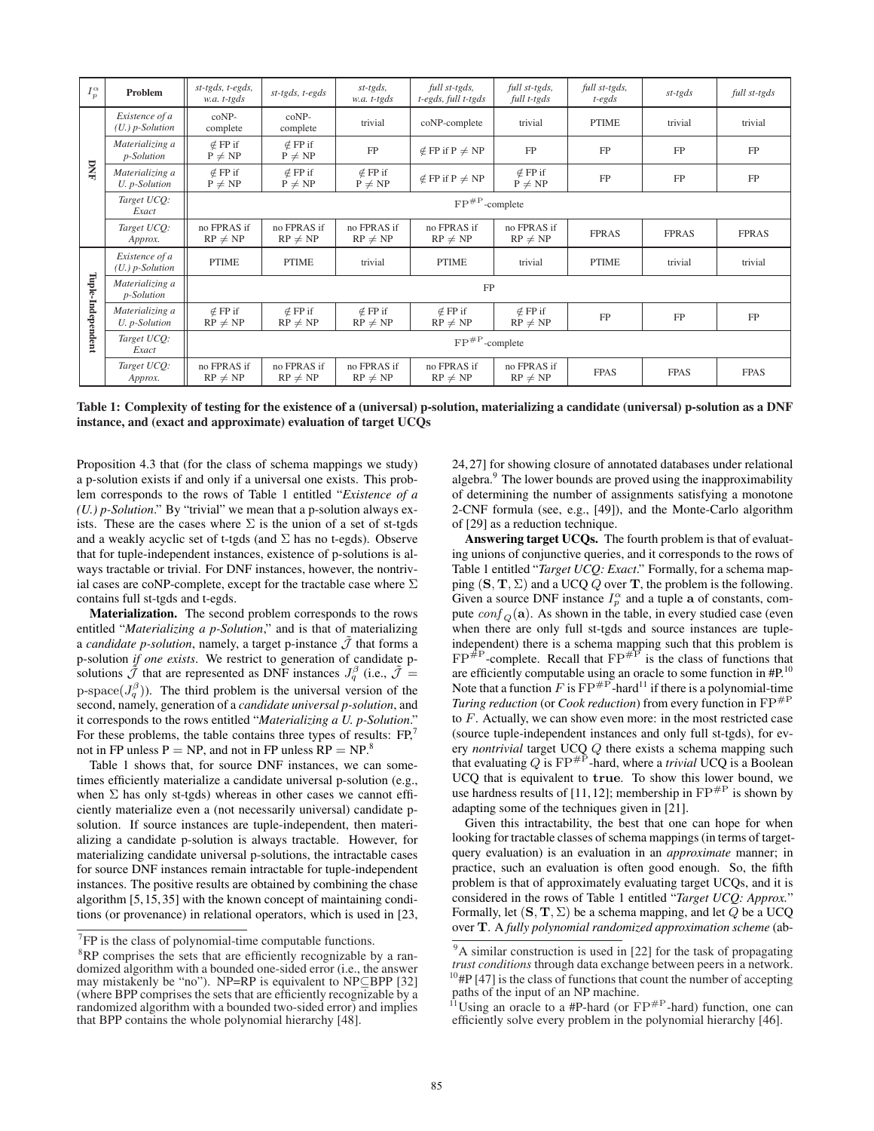| $I_p^{\alpha}$    | Problem                               | st-tgds, t-egds,<br>w.a. t-tgds | $st$ -tgds, t-egds             | $st$ -tgds,<br>w.a. t-tgds     | full st-tgds,<br>t-egds, full t-tgds | full st-tgds,<br>full t-tgds        | full st-tgds,<br>$t$ -egds | st-tgds      | full st-tgds |  |
|-------------------|---------------------------------------|---------------------------------|--------------------------------|--------------------------------|--------------------------------------|-------------------------------------|----------------------------|--------------|--------------|--|
| DNI               | Existence of a<br>$(U.)$ p-Solution   | coNP-<br>complete               | $coNP-$<br>complete            | trivial                        | coNP-complete                        | trivial                             | <b>PTIME</b>               | trivial      | trivial      |  |
|                   | Materializing a<br><i>p</i> -Solution | $\notin$ FP if<br>$P \neq NP$   | $\notin$ FP if<br>$P \neq NP$  | FP                             | $\notin$ FP if P $\neq$ NP           | FP                                  | FP                         | FP           | FP           |  |
|                   | Materializing a<br>U. p-Solution      | $\notin$ FP if<br>$P \neq NP$   | $\notin$ FP if<br>$P \neq NP$  | $\notin$ FP if<br>$P \neq NP$  | $\notin$ FP if P $\neq$ NP           | $\notin$ FP if<br>FP<br>$P \neq NP$ |                            | FP           | FP           |  |
|                   | Target UCQ:<br>Exact                  | $FP^{\#P}$ -complete            |                                |                                |                                      |                                     |                            |              |              |  |
|                   | Target UCQ:<br>Approx.                | no FPRAS if<br>$RP \neq NP$     | no FPRAS if<br>$RP \neq NP$    | no FPRAS if<br>$RP \neq NP$    | no FPRAS if<br>$RP \neq NP$          | no FPRAS if<br>$RP \neq NP$         | <b>FPRAS</b>               | <b>FPRAS</b> | <b>FPRAS</b> |  |
|                   | Existence of a<br>$(U. )$ p-Solution  | <b>PTIME</b>                    | <b>PTIME</b>                   | trivial                        | <b>PTIME</b>                         | trivial                             | <b>PTIME</b>               | trivial      | trivial      |  |
|                   | Materializing a<br><i>p</i> -Solution | FP                              |                                |                                |                                      |                                     |                            |              |              |  |
| Tuple-Independent | Materializing a<br>U. p-Solution      | $\notin$ FP if<br>$RP \neq NP$  | $\notin$ FP if<br>$RP \neq NP$ | $\notin$ FP if<br>$RP \neq NP$ | $\notin$ FP if<br>$RP \neq NP$       | $\notin$ FP if<br>$RP \neq NP$      | FP                         | FP           | FP           |  |
|                   | Target UCO:<br>Exact                  | $\rm FP^{\rm \#P}$ -complete    |                                |                                |                                      |                                     |                            |              |              |  |
|                   | Target UCQ:<br>Approx.                | no FPRAS if<br>$RP \neq NP$     | no FPRAS if<br>$RP \neq NP$    | no FPRAS if<br>$RP \neq NP$    | no FPRAS if<br>$RP \neq NP$          | no FPRAS if<br>$RP \neq NP$         | <b>FPAS</b>                | <b>FPAS</b>  | <b>FPAS</b>  |  |

Table 1: Complexity of testing for the existence of a (universal) p-solution, materializing a candidate (universal) p-solution as a DNF instance, and (exact and approximate) evaluation of target UCQs

Proposition 4.3 that (for the class of schema mappings we study) a p-solution exists if and only if a universal one exists. This problem corresponds to the rows of Table 1 entitled "*Existence of a (U.) p-Solution*." By "trivial" we mean that a p-solution always exists. These are the cases where  $\Sigma$  is the union of a set of st-tgds and a weakly acyclic set of t-tgds (and  $\Sigma$  has no t-egds). Observe that for tuple-independent instances, existence of p-solutions is always tractable or trivial. For DNF instances, however, the nontrivial cases are coNP-complete, except for the tractable case where  $\Sigma$ contains full st-tgds and t-egds.

Materialization. The second problem corresponds to the rows entitled "*Materializing a p-Solution*," and is that of materializing a *candidate p-solution*, namely, a target p-instance  $\tilde{\mathcal{J}}$  that forms a p-solution *if one exists*. We restrict to generation of candidate psolutions  $\tilde{J}$  that are represented as DNF instances  $J_q^{\beta}$  (i.e.,  $\tilde{J} =$ p-space( $J_q^{\beta}$ )). The third problem is the universal version of the second, namely, generation of a *candidate universal p-solution*, and it corresponds to the rows entitled "*Materializing a U. p-Solution*." For these problems, the table contains three types of results:  $FP<sub>1</sub>$ <sup>7</sup> not in FP unless  $P = NP$ , and not in FP unless  $RP = NP<sup>8</sup>$ 

Table 1 shows that, for source DNF instances, we can sometimes efficiently materialize a candidate universal p-solution (e.g., when  $\Sigma$  has only st-tgds) whereas in other cases we cannot efficiently materialize even a (not necessarily universal) candidate psolution. If source instances are tuple-independent, then materializing a candidate p-solution is always tractable. However, for materializing candidate universal p-solutions, the intractable cases for source DNF instances remain intractable for tuple-independent instances. The positive results are obtained by combining the chase algorithm [5,15,35] with the known concept of maintaining conditions (or provenance) in relational operators, which is used in [23, 24,27] for showing closure of annotated databases under relational algebra.<sup>9</sup> The lower bounds are proved using the inapproximability of determining the number of assignments satisfying a monotone 2-CNF formula (see, e.g., [49]), and the Monte-Carlo algorithm of [29] as a reduction technique.

Answering target UCQs. The fourth problem is that of evaluating unions of conjunctive queries, and it corresponds to the rows of Table 1 entitled "*Target UCQ: Exact*." Formally, for a schema mapping  $(S, T, \Sigma)$  and a UCQ Q over T, the problem is the following. Given a source DNF instance  $I_p^{\alpha}$  and a tuple **a** of constants, compute  $\text{conf}_{\Omega}(\mathbf{a})$ . As shown in the table, in every studied case (even when there are only full st-tgds and source instances are tupleindependent) there is a schema mapping such that this problem is  $FP^{\#P}$ -complete. Recall that  $FP^{\#P}$  is the class of functions that are efficiently computable using an oracle to some function in #P.<sup>10</sup> Note that a function F is  $FP^{+P}$ -hard<sup>11</sup> if there is a polynomial-time *Turing reduction* (or *Cook reduction*) from every function in  $FP^{p}$ to F. Actually, we can show even more: in the most restricted case (source tuple-independent instances and only full st-tgds), for every *nontrivial* target UCQ Q there exists a schema mapping such that evaluating  $Q$  is  $\text{FP}^{\#P}$ -hard, where a *trivial* UCQ is a Boolean UCQ that is equivalent to true. To show this lower bound, we use hardness results of [11, 12]; membership in  $FP^{#P}$  is shown by adapting some of the techniques given in [21].

Given this intractability, the best that one can hope for when looking for tractable classes of schema mappings (in terms of targetquery evaluation) is an evaluation in an *approximate* manner; in practice, such an evaluation is often good enough. So, the fifth problem is that of approximately evaluating target UCQs, and it is considered in the rows of Table 1 entitled "*Target UCQ: Approx.*" Formally, let  $(S, T, \Sigma)$  be a schema mapping, and let Q be a UCQ over T. A *fully polynomial randomized approximation scheme* (ab-

 $7$  FP is the class of polynomial-time computable functions.

 ${}^{8}$ RP comprises the sets that are efficiently recognizable by a randomized algorithm with a bounded one-sided error (i.e., the answer may mistakenly be "no"). NP=RP is equivalent to NP⊆BPP [32] (where BPP comprises the sets that are efficiently recognizable by a randomized algorithm with a bounded two-sided error) and implies that BPP contains the whole polynomial hierarchy [48].

 $\overline{9A}$  similar construction is used in [22] for the task of propagating *trust conditions* through data exchange between peers in a network.  $10<sup>10</sup>$ #P [47] is the class of functions that count the number of accepting paths of the input of an NP machine.

 $11$ Using an oracle to a #P-hard (or  $FP^{HP}$ -hard) function, one can efficiently solve every problem in the polynomial hierarchy [46].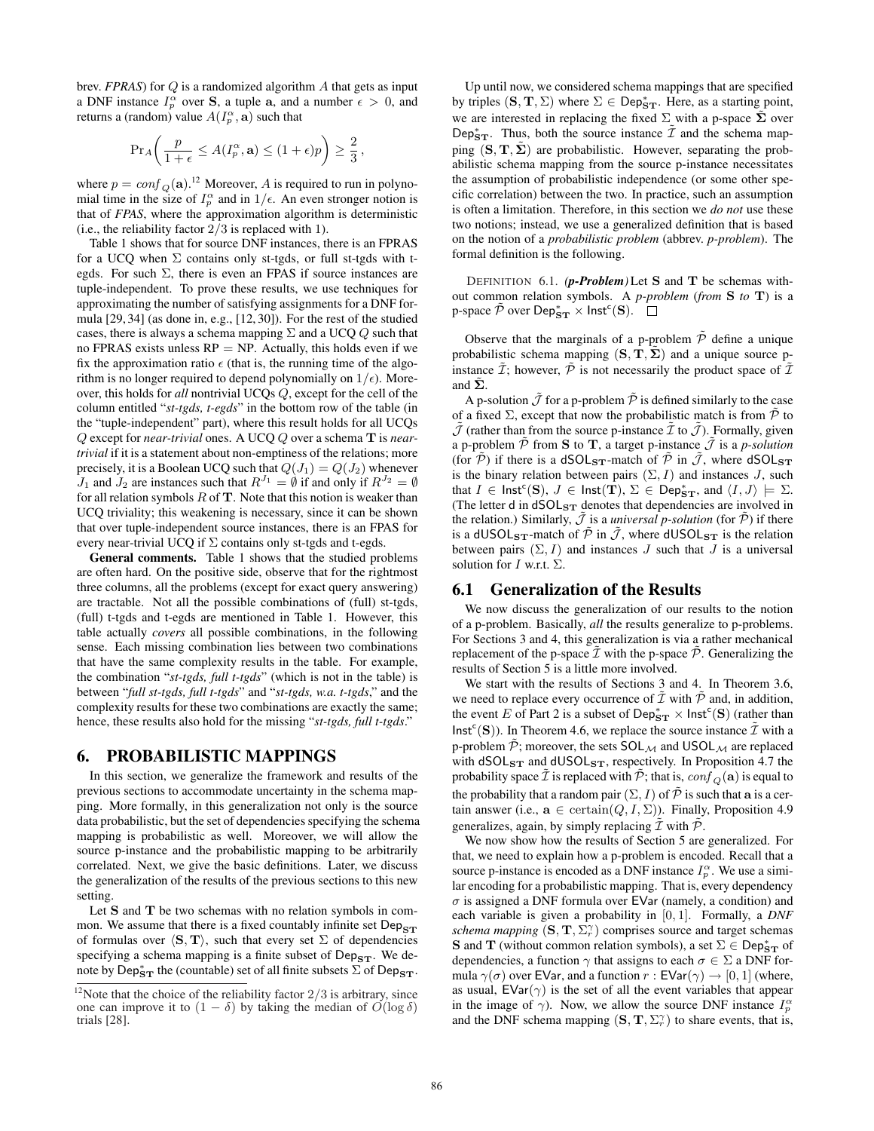brev. *FPRAS*) for Q is a randomized algorithm A that gets as input a DNF instance  $I_p^{\alpha}$  over **S**, a tuple **a**, and a number  $\epsilon > 0$ , and returns a (random) value  $A(I_p^{\alpha}, \mathbf{a})$  such that

$$
\Pr_A\bigg(\frac{p}{1+\epsilon} \le A(I_p^{\alpha}, \mathbf{a}) \le (1+\epsilon)p\bigg) \ge \frac{2}{3}\,,
$$

where  $p = conf_Q(\mathbf{a})$ .<sup>12</sup> Moreover, A is required to run in polynomial time in the size of  $I_p^{\alpha}$  and in  $1/\epsilon$ . An even stronger notion is that of *FPAS*, where the approximation algorithm is deterministic (i.e., the reliability factor  $2/3$  is replaced with 1).

Table 1 shows that for source DNF instances, there is an FPRAS for a UCQ when  $\Sigma$  contains only st-tgds, or full st-tgds with tegds. For such  $\Sigma$ , there is even an FPAS if source instances are tuple-independent. To prove these results, we use techniques for approximating the number of satisfying assignments for a DNF formula [29, 34] (as done in, e.g., [12, 30]). For the rest of the studied cases, there is always a schema mapping  $\Sigma$  and a UCQ  $Q$  such that no FPRAS exists unless  $RP = NP$ . Actually, this holds even if we fix the approximation ratio  $\epsilon$  (that is, the running time of the algorithm is no longer required to depend polynomially on  $1/\epsilon$ ). Moreover, this holds for *all* nontrivial UCQs Q, except for the cell of the column entitled "*st-tgds, t-egds*" in the bottom row of the table (in the "tuple-independent" part), where this result holds for all UCQs Q except for *near-trivial* ones. A UCQ Q over a schema T is *neartrivial* if it is a statement about non-emptiness of the relations; more precisely, it is a Boolean UCQ such that  $Q(J_1) = Q(J_2)$  whenever  $J_1$  and  $J_2$  are instances such that  $R^{J_1} = \emptyset$  if and only if  $R^{J_2} = \emptyset$ for all relation symbols  $R$  of  $T$ . Note that this notion is weaker than UCQ triviality; this weakening is necessary, since it can be shown that over tuple-independent source instances, there is an FPAS for every near-trivial UCQ if  $\Sigma$  contains only st-tgds and t-egds.

General comments. Table 1 shows that the studied problems are often hard. On the positive side, observe that for the rightmost three columns, all the problems (except for exact query answering) are tractable. Not all the possible combinations of (full) st-tgds, (full) t-tgds and t-egds are mentioned in Table 1. However, this table actually *covers* all possible combinations, in the following sense. Each missing combination lies between two combinations that have the same complexity results in the table. For example, the combination "*st-tgds, full t-tgds*" (which is not in the table) is between "*full st-tgds, full t-tgds*" and "*st-tgds, w.a. t-tgds*," and the complexity results for these two combinations are exactly the same; hence, these results also hold for the missing "*st-tgds, full t-tgds*."

#### 6. PROBABILISTIC MAPPINGS

In this section, we generalize the framework and results of the previous sections to accommodate uncertainty in the schema mapping. More formally, in this generalization not only is the source data probabilistic, but the set of dependencies specifying the schema mapping is probabilistic as well. Moreover, we will allow the source p-instance and the probabilistic mapping to be arbitrarily correlated. Next, we give the basic definitions. Later, we discuss the generalization of the results of the previous sections to this new setting.

Let S and T be two schemas with no relation symbols in common. We assume that there is a fixed countably infinite set  $Dep_{ST}$ of formulas over  $\langle S, T \rangle$ , such that every set  $\Sigma$  of dependencies specifying a schema mapping is a finite subset of  $Dep_{ST}$ . We denote by  $\text{Dep}_{ST}^*$  the (countable) set of all finite subsets  $\sum$  of  $\text{Dep}_{ST}$ .

Up until now, we considered schema mappings that are specified by triples  $(S, T, \Sigma)$  where  $\Sigma \in \mathsf{Dep}^*_{ST}$ . Here, as a starting point, we are interested in replacing the fixed  $\Sigma$  with a p-space  $\tilde{\Sigma}$  over Dep $_{\mathbf{ST}}^*$ . Thus, both the source instance  $\tilde{\mathcal{I}}$  and the schema mapping  $(S, T, \Sigma)$  are probabilistic. However, separating the probabilistic schema mapping from the source p-instance necessitates the assumption of probabilistic independence (or some other specific correlation) between the two. In practice, such an assumption is often a limitation. Therefore, in this section we *do not* use these two notions; instead, we use a generalized definition that is based on the notion of a *probabilistic problem* (abbrev. *p-problem*). The formal definition is the following.

DEFINITION 6.1. *(p-Problem)* Let S and T be schemas without common relation symbols. A *p-problem* (*from* S *to* T) is a p-space  $\tilde{\mathcal{P}}$  over  $\mathsf{Dep}^*_{\mathbf{ST}} \times \mathsf{Inst}^c(\mathbf{S})$ .

Observe that the marginals of a p-problem  $\tilde{\mathcal{P}}$  define a unique probabilistic schema mapping  $(S, \dot{T}, \dot{\Sigma})$  and a unique source pinstance  $\tilde{\mathcal{I}}$ ; however,  $\tilde{\mathcal{P}}$  is not necessarily the product space of  $\tilde{\mathcal{I}}$ and  $\tilde{\Sigma}$ .

A p-solution  $\tilde{J}$  for a p-problem  $\tilde{P}$  is defined similarly to the case of a fixed  $\Sigma$ , except that now the probabilistic match is from  $\tilde{\mathcal{P}}$  to  $\tilde{J}$  (rather than from the source p-instance  $\tilde{I}$  to  $\tilde{J}$ ). Formally, given a p-problem  $\tilde{P}$  from **S** to **T**, a target p-instance  $\tilde{J}$  is a *p-solution* (for  $\tilde{P}$ ) if there is a dSOL<sub>ST</sub>-match of  $\tilde{P}$  in  $\tilde{J}$ , where dSOL<sub>ST</sub> is the binary relation between pairs  $(\Sigma, I)$  and instances J, such that  $I \in \text{Inst}^c(S)$ ,  $J \in \text{Inst}(\mathbf{T})$ ,  $\Sigma \in \text{Dep}_{\mathbf{ST}}^*$ , and  $\langle I, J \rangle \models \Sigma$ . (The letter d in dSOL<sub>ST</sub> denotes that dependencies are involved in the relation.) Similarly,  $\tilde{J}$  is a *universal p-solution* (for  $\tilde{P}$ ) if there is a dUSOL<sub>ST</sub>-match of  $\tilde{\mathcal{P}}$  in  $\tilde{\mathcal{J}}$ , where dUSOL<sub>ST</sub> is the relation between pairs  $(\Sigma, I)$  and instances J such that J is a universal solution for *I* w.r.t.  $\Sigma$ .

#### 6.1 Generalization of the Results

We now discuss the generalization of our results to the notion of a p-problem. Basically, *all* the results generalize to p-problems. For Sections 3 and 4, this generalization is via a rather mechanical replacement of the p-space  $\mathcal I$  with the p-space  $\mathcal P$ . Generalizing the results of Section 5 is a little more involved.

We start with the results of Sections 3 and 4. In Theorem 3.6, we need to replace every occurrence of  $\tilde{\mathcal{I}}$  with  $\tilde{\mathcal{P}}$  and, in addition, the event E of Part 2 is a subset of  $\mathsf{Dep}^*_{ST} \times \mathsf{Inst}^c(S)$  (rather than  $\textsf{Inst}^c(S)$ ). In Theorem 4.6, we replace the source instance  $\tilde{\mathcal{I}}$  with a p-problem  $\tilde{\mathcal{P}}$ ; moreover, the sets  $SOL_{\mathcal{M}}$  and  $USOL_{\mathcal{M}}$  are replaced with  $dSOL_{ST}$  and  $dUSOL_{ST}$ , respectively. In Proposition 4.7 the probability space  $\tilde{\mathcal{I}}$  is replaced with  $\tilde{\mathcal{P}}$ ; that is,  $\text{conf}_Q(\mathbf{a})$  is equal to the probability that a random pair  $(\Sigma, I)$  of  $\tilde{P}$  is such that a is a certain answer (i.e.,  $\mathbf{a} \in \text{certain}(Q, I, \Sigma)$ ). Finally, Proposition 4.9 generalizes, again, by simply replacing  $\tilde{\mathcal{I}}$  with  $\tilde{\mathcal{P}}$ .

We now show how the results of Section 5 are generalized. For that, we need to explain how a p-problem is encoded. Recall that a source p-instance is encoded as a DNF instance  $I_p^{\alpha}$ . We use a similar encoding for a probabilistic mapping. That is, every dependency  $\sigma$  is assigned a DNF formula over EVar (namely, a condition) and each variable is given a probability in [0, 1]. Formally, a *DNF schema mapping*  $(S, T, \Sigma_{r}^{\gamma})$  comprises source and target schemas **S** and **T** (without common relation symbols), a set  $\Sigma \in \mathsf{Dep}_{ST}^*$  of dependencies, a function  $\gamma$  that assigns to each  $\sigma \in \Sigma$  a DNF formula  $\gamma(\sigma)$  over EVar, and a function  $r : EVar(\gamma) \to [0, 1]$  (where, as usual,  $EVar(\gamma)$  is the set of all the event variables that appear in the image of  $\gamma$ ). Now, we allow the source DNF instance  $I_p^{\alpha}$ and the DNF schema mapping  $(S, T, \Sigma_r^{\gamma})$  to share events, that is,

<sup>&</sup>lt;sup>12</sup>Note that the choice of the reliability factor  $2/3$  is arbitrary, since one can improve it to  $(1 - \delta)$  by taking the median of  $O(\log \delta)$ trials [28].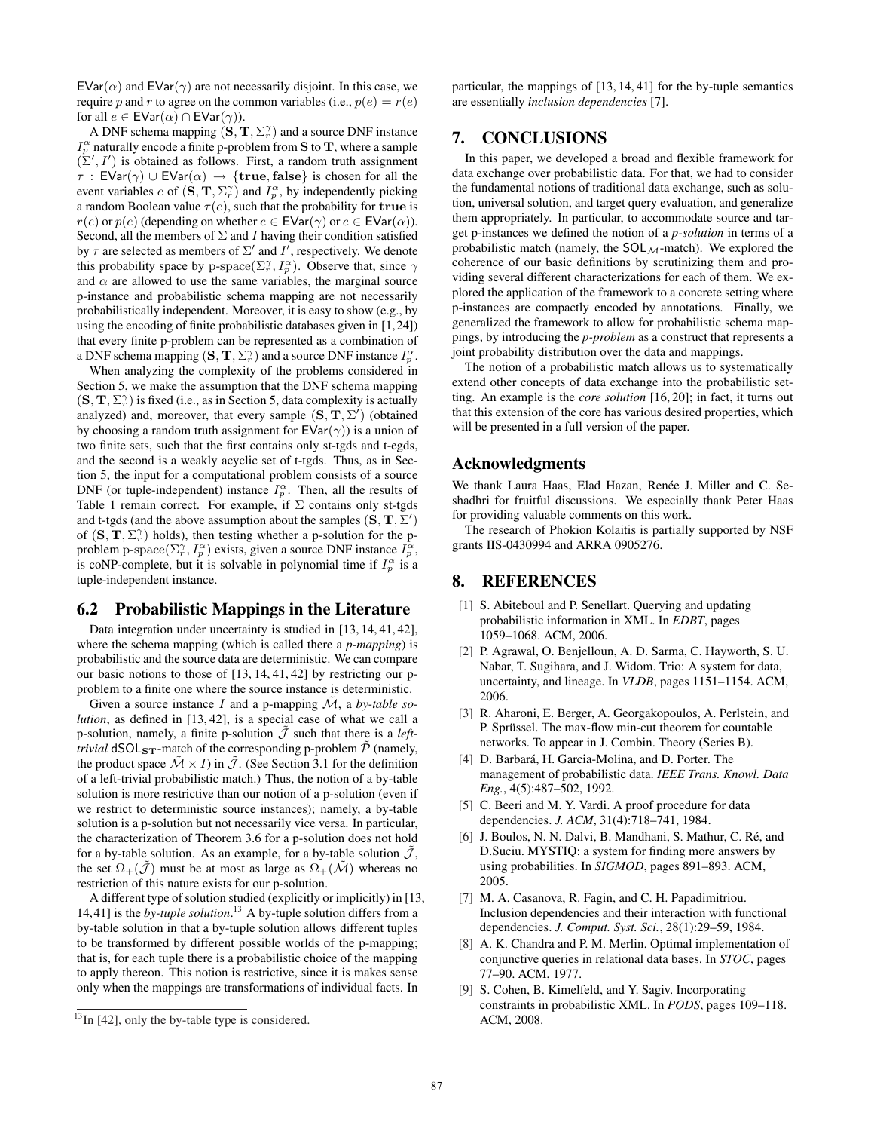$EVar(\alpha)$  and  $EVar(\gamma)$  are not necessarily disjoint. In this case, we require p and r to agree on the common variables (i.e.,  $p(e) = r(e)$ ) for all  $e \in \mathsf{EVar}(\alpha) \cap \mathsf{EVar}(\gamma)$ ).

A DNF schema mapping  $(S, T, \Sigma_r^{\gamma})$  and a source DNF instance  $I_p^{\alpha}$  naturally encode a finite p-problem from S to T, where a sample  $(\Sigma', I')$  is obtained as follows. First, a random truth assignment  $\tau$ : EVar( $\gamma$ ) ∪ EVar( $\alpha$ )  $\rightarrow$  {true, false} is chosen for all the event variables *e* of  $(S, T, \Sigma_r^{\gamma})$  and  $I_p^{\alpha}$ , by independently picking a random Boolean value  $\tau(e)$ , such that the probability for true is  $r(e)$  or  $p(e)$  (depending on whether  $e \in \mathsf{EVar}(\gamma)$  or  $e \in \mathsf{EVar}(\alpha)$ ). Second, all the members of  $\Sigma$  and I having their condition satisfied by  $\tau$  are selected as members of  $\Sigma'$  and  $I'$ , respectively. We denote this probability space by p-space( $\Sigma_r^{\gamma}, I_p^{\alpha}$ ). Observe that, since  $\gamma$ and  $\alpha$  are allowed to use the same variables, the marginal source p-instance and probabilistic schema mapping are not necessarily probabilistically independent. Moreover, it is easy to show (e.g., by using the encoding of finite probabilistic databases given in [1,24]) that every finite p-problem can be represented as a combination of a DNF schema mapping  $(S, T, \Sigma_r^{\gamma})$  and a source DNF instance  $I_p^{\alpha}$ .

When analyzing the complexity of the problems considered in Section 5, we make the assumption that the DNF schema mapping  $(\mathbf{S}, \mathbf{T}, \Sigma_{r}^{\gamma})$  is fixed (i.e., as in Section 5, data complexity is actually analyzed) and, moreover, that every sample  $(S, T, \Sigma')$  (obtained by choosing a random truth assignment for  $EVar(\gamma)$  is a union of two finite sets, such that the first contains only st-tgds and t-egds, and the second is a weakly acyclic set of t-tgds. Thus, as in Section 5, the input for a computational problem consists of a source DNF (or tuple-independent) instance  $I_p^{\alpha}$ . Then, all the results of Table 1 remain correct. For example, if  $\Sigma$  contains only st-tgds and t-tgds (and the above assumption about the samples  $(S, T, \Sigma')$ ) of  $(S, T, \Sigma_r^{\gamma})$  holds), then testing whether a p-solution for the pproblem p-space( $\Sigma_r^{\gamma}, I_p^{\alpha}$ ) exists, given a source DNF instance  $I_p^{\alpha}$ , is coNP-complete, but it is solvable in polynomial time if  $I_p^{\alpha}$  is a tuple-independent instance.

#### 6.2 Probabilistic Mappings in the Literature

Data integration under uncertainty is studied in [13, 14, 41, 42], where the schema mapping (which is called there a *p-mapping*) is probabilistic and the source data are deterministic. We can compare our basic notions to those of [13, 14, 41, 42] by restricting our pproblem to a finite one where the source instance is deterministic.

Given a source instance I and a p-mapping  $\tilde{M}$ , a *by-table solution*, as defined in [13, 42], is a special case of what we call a p-solution, namely, a finite p-solution  $\hat{J}$  such that there is a *lefttrivial*  $dSOL_{ST}$ -match of the corresponding p-problem  $\overline{P}$  (namely, the product space  $\mathcal{M} \times I$ ) in  $\mathcal{J}$ . (See Section 3.1 for the definition of a left-trivial probabilistic match.) Thus, the notion of a by-table solution is more restrictive than our notion of a p-solution (even if we restrict to deterministic source instances); namely, a by-table solution is a p-solution but not necessarily vice versa. In particular, the characterization of Theorem 3.6 for a p-solution does not hold for a by-table solution. As an example, for a by-table solution  $\mathcal{J}$ , the set  $\Omega_+(\mathcal{J})$  must be at most as large as  $\Omega_+(\mathcal{M})$  whereas no restriction of this nature exists for our p-solution.

A different type of solution studied (explicitly or implicitly) in [13, 14,41] is the *by-tuple solution*. <sup>13</sup> A by-tuple solution differs from a by-table solution in that a by-tuple solution allows different tuples to be transformed by different possible worlds of the p-mapping; that is, for each tuple there is a probabilistic choice of the mapping to apply thereon. This notion is restrictive, since it is makes sense only when the mappings are transformations of individual facts. In

particular, the mappings of [13, 14, 41] for the by-tuple semantics are essentially *inclusion dependencies* [7].

## 7. CONCLUSIONS

In this paper, we developed a broad and flexible framework for data exchange over probabilistic data. For that, we had to consider the fundamental notions of traditional data exchange, such as solution, universal solution, and target query evaluation, and generalize them appropriately. In particular, to accommodate source and target p-instances we defined the notion of a *p-solution* in terms of a probabilistic match (namely, the  $SOL_{\mathcal{M}}$ -match). We explored the coherence of our basic definitions by scrutinizing them and providing several different characterizations for each of them. We explored the application of the framework to a concrete setting where p-instances are compactly encoded by annotations. Finally, we generalized the framework to allow for probabilistic schema mappings, by introducing the *p-problem* as a construct that represents a joint probability distribution over the data and mappings.

The notion of a probabilistic match allows us to systematically extend other concepts of data exchange into the probabilistic setting. An example is the *core solution* [16, 20]; in fact, it turns out that this extension of the core has various desired properties, which will be presented in a full version of the paper.

### Acknowledgments

We thank Laura Haas, Elad Hazan, Renée J. Miller and C. Seshadhri for fruitful discussions. We especially thank Peter Haas for providing valuable comments on this work.

The research of Phokion Kolaitis is partially supported by NSF grants IIS-0430994 and ARRA 0905276.

# 8. REFERENCES

- [1] S. Abiteboul and P. Senellart. Querying and updating probabilistic information in XML. In *EDBT*, pages 1059–1068. ACM, 2006.
- [2] P. Agrawal, O. Benjelloun, A. D. Sarma, C. Hayworth, S. U. Nabar, T. Sugihara, and J. Widom. Trio: A system for data, uncertainty, and lineage. In *VLDB*, pages 1151–1154. ACM, 2006.
- [3] R. Aharoni, E. Berger, A. Georgakopoulos, A. Perlstein, and P. Sprüssel. The max-flow min-cut theorem for countable networks. To appear in J. Combin. Theory (Series B).
- [4] D. Barbará, H. Garcia-Molina, and D. Porter. The management of probabilistic data. *IEEE Trans. Knowl. Data Eng.*, 4(5):487–502, 1992.
- [5] C. Beeri and M. Y. Vardi. A proof procedure for data dependencies. *J. ACM*, 31(4):718–741, 1984.
- [6] J. Boulos, N. N. Dalvi, B. Mandhani, S. Mathur, C. Ré, and D.Suciu. MYSTIQ: a system for finding more answers by using probabilities. In *SIGMOD*, pages 891–893. ACM, 2005.
- [7] M. A. Casanova, R. Fagin, and C. H. Papadimitriou. Inclusion dependencies and their interaction with functional dependencies. *J. Comput. Syst. Sci.*, 28(1):29–59, 1984.
- [8] A. K. Chandra and P. M. Merlin. Optimal implementation of conjunctive queries in relational data bases. In *STOC*, pages 77–90. ACM, 1977.
- [9] S. Cohen, B. Kimelfeld, and Y. Sagiv. Incorporating constraints in probabilistic XML. In *PODS*, pages 109–118. ACM, 2008.

 $^{13}$ In [42], only the by-table type is considered.